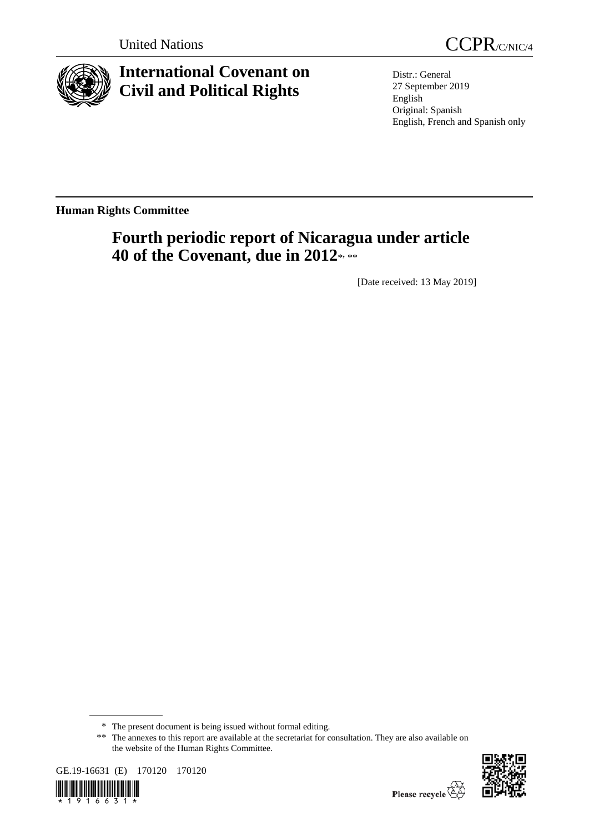

**International Covenant on Civil and Political Rights**

United Nations CCPR/C/NIC/4

Distr.: General 27 September 2019 English Original: Spanish English, French and Spanish only

**Human Rights Committee**

# **Fourth periodic report of Nicaragua under article 40 of the Covenant, due in 2012**\* , \*\*

[Date received: 13 May 2019]

<sup>\*\*</sup> The annexes to this report are available at the secretariat for consultation. They are also available on the website of the Human Rights Committee.





<sup>\*</sup> The present document is being issued without formal editing.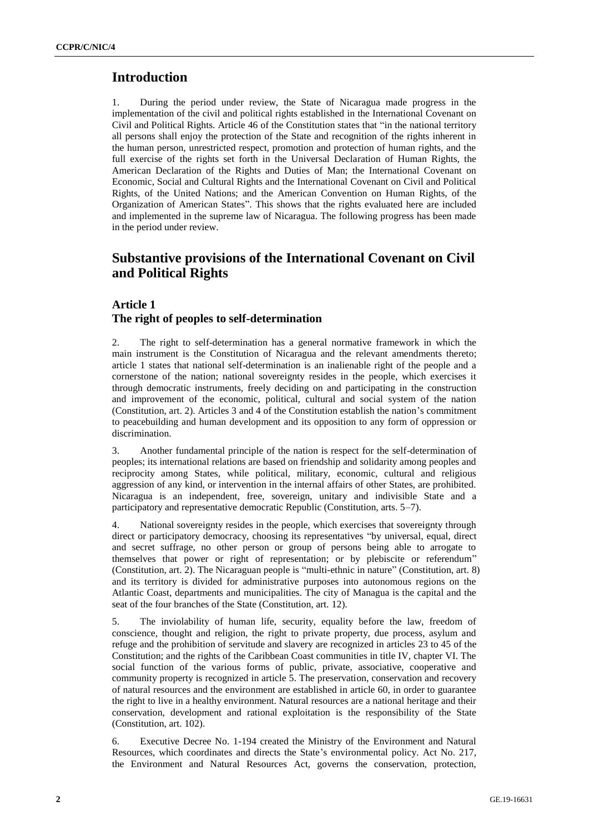# **Introduction**

1. During the period under review, the State of Nicaragua made progress in the implementation of the civil and political rights established in the International Covenant on Civil and Political Rights. Article 46 of the Constitution states that "in the national territory all persons shall enjoy the protection of the State and recognition of the rights inherent in the human person, unrestricted respect, promotion and protection of human rights, and the full exercise of the rights set forth in the Universal Declaration of Human Rights, the American Declaration of the Rights and Duties of Man; the International Covenant on Economic, Social and Cultural Rights and the International Covenant on Civil and Political Rights, of the United Nations; and the American Convention on Human Rights, of the Organization of American States". This shows that the rights evaluated here are included and implemented in the supreme law of Nicaragua. The following progress has been made in the period under review.

# **Substantive provisions of the International Covenant on Civil and Political Rights**

# **Article 1 The right of peoples to self-determination**

2. The right to self-determination has a general normative framework in which the main instrument is the Constitution of Nicaragua and the relevant amendments thereto; article 1 states that national self-determination is an inalienable right of the people and a cornerstone of the nation; national sovereignty resides in the people, which exercises it through democratic instruments, freely deciding on and participating in the construction and improvement of the economic, political, cultural and social system of the nation (Constitution, art. 2). Articles 3 and 4 of the Constitution establish the nation's commitment to peacebuilding and human development and its opposition to any form of oppression or discrimination.

3. Another fundamental principle of the nation is respect for the self-determination of peoples; its international relations are based on friendship and solidarity among peoples and reciprocity among States, while political, military, economic, cultural and religious aggression of any kind, or intervention in the internal affairs of other States, are prohibited. Nicaragua is an independent, free, sovereign, unitary and indivisible State and a participatory and representative democratic Republic (Constitution, arts. 5–7).

National sovereignty resides in the people, which exercises that sovereignty through direct or participatory democracy, choosing its representatives "by universal, equal, direct and secret suffrage, no other person or group of persons being able to arrogate to themselves that power or right of representation; or by plebiscite or referendum" (Constitution, art. 2). The Nicaraguan people is "multi-ethnic in nature" (Constitution, art. 8) and its territory is divided for administrative purposes into autonomous regions on the Atlantic Coast, departments and municipalities. The city of Managua is the capital and the seat of the four branches of the State (Constitution, art. 12).

5. The inviolability of human life, security, equality before the law, freedom of conscience, thought and religion, the right to private property, due process, asylum and refuge and the prohibition of servitude and slavery are recognized in articles 23 to 45 of the Constitution; and the rights of the Caribbean Coast communities in title IV, chapter VI. The social function of the various forms of public, private, associative, cooperative and community property is recognized in article 5. The preservation, conservation and recovery of natural resources and the environment are established in article 60, in order to guarantee the right to live in a healthy environment. Natural resources are a national heritage and their conservation, development and rational exploitation is the responsibility of the State (Constitution, art. 102).

6. Executive Decree No. 1-194 created the Ministry of the Environment and Natural Resources, which coordinates and directs the State's environmental policy. Act No. 217, the Environment and Natural Resources Act, governs the conservation, protection,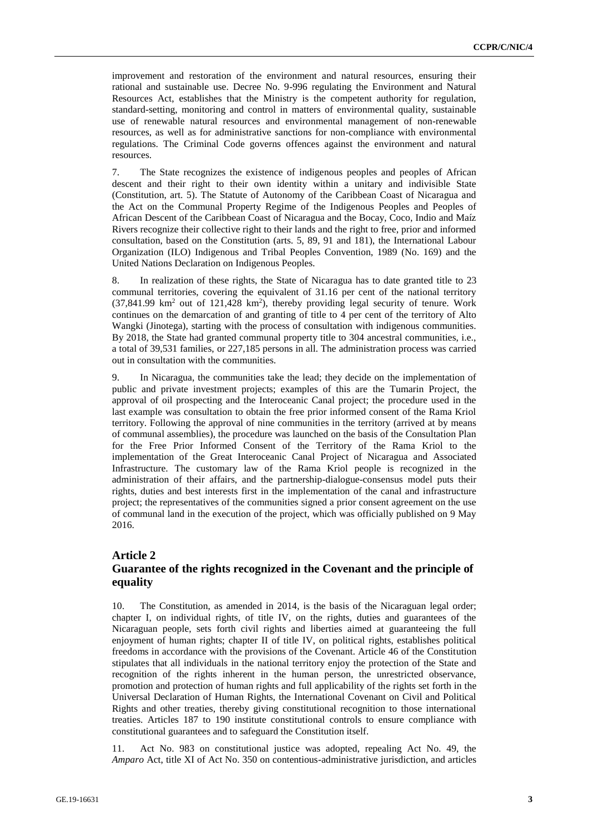improvement and restoration of the environment and natural resources, ensuring their rational and sustainable use. Decree No. 9-996 regulating the Environment and Natural Resources Act, establishes that the Ministry is the competent authority for regulation, standard-setting, monitoring and control in matters of environmental quality, sustainable use of renewable natural resources and environmental management of non-renewable resources, as well as for administrative sanctions for non-compliance with environmental regulations. The Criminal Code governs offences against the environment and natural resources.

7. The State recognizes the existence of indigenous peoples and peoples of African descent and their right to their own identity within a unitary and indivisible State (Constitution, art. 5). The Statute of Autonomy of the Caribbean Coast of Nicaragua and the Act on the Communal Property Regime of the Indigenous Peoples and Peoples of African Descent of the Caribbean Coast of Nicaragua and the Bocay, Coco, Indio and Maíz Rivers recognize their collective right to their lands and the right to free, prior and informed consultation, based on the Constitution (arts. 5, 89, 91 and 181), the International Labour Organization (ILO) Indigenous and Tribal Peoples Convention, 1989 (No. 169) and the United Nations Declaration on Indigenous Peoples.

8. In realization of these rights, the State of Nicaragua has to date granted title to 23 communal territories, covering the equivalent of 31.16 per cent of the national territory  $(37,841.99 \text{ km}^2)$  out of  $121,428 \text{ km}^2)$ , thereby providing legal security of tenure. Work continues on the demarcation of and granting of title to 4 per cent of the territory of Alto Wangki (Jinotega), starting with the process of consultation with indigenous communities. By 2018, the State had granted communal property title to 304 ancestral communities, i.e., a total of 39,531 families, or 227,185 persons in all. The administration process was carried out in consultation with the communities.

9. In Nicaragua, the communities take the lead; they decide on the implementation of public and private investment projects; examples of this are the Tumarin Project, the approval of oil prospecting and the Interoceanic Canal project; the procedure used in the last example was consultation to obtain the free prior informed consent of the Rama Kriol territory. Following the approval of nine communities in the territory (arrived at by means of communal assemblies), the procedure was launched on the basis of the Consultation Plan for the Free Prior Informed Consent of the Territory of the Rama Kriol to the implementation of the Great Interoceanic Canal Project of Nicaragua and Associated Infrastructure. The customary law of the Rama Kriol people is recognized in the administration of their affairs, and the partnership-dialogue-consensus model puts their rights, duties and best interests first in the implementation of the canal and infrastructure project; the representatives of the communities signed a prior consent agreement on the use of communal land in the execution of the project, which was officially published on 9 May 2016.

#### **Article 2**

## **Guarantee of the rights recognized in the Covenant and the principle of equality**

10. The Constitution, as amended in 2014, is the basis of the Nicaraguan legal order; chapter I, on individual rights, of title IV, on the rights, duties and guarantees of the Nicaraguan people, sets forth civil rights and liberties aimed at guaranteeing the full enjoyment of human rights; chapter II of title IV, on political rights, establishes political freedoms in accordance with the provisions of the Covenant. Article 46 of the Constitution stipulates that all individuals in the national territory enjoy the protection of the State and recognition of the rights inherent in the human person, the unrestricted observance, promotion and protection of human rights and full applicability of the rights set forth in the Universal Declaration of Human Rights, the International Covenant on Civil and Political Rights and other treaties, thereby giving constitutional recognition to those international treaties. Articles 187 to 190 institute constitutional controls to ensure compliance with constitutional guarantees and to safeguard the Constitution itself.

Act No. 983 on constitutional justice was adopted, repealing Act No. 49, the *Amparo* Act, title XI of Act No. 350 on contentious-administrative jurisdiction, and articles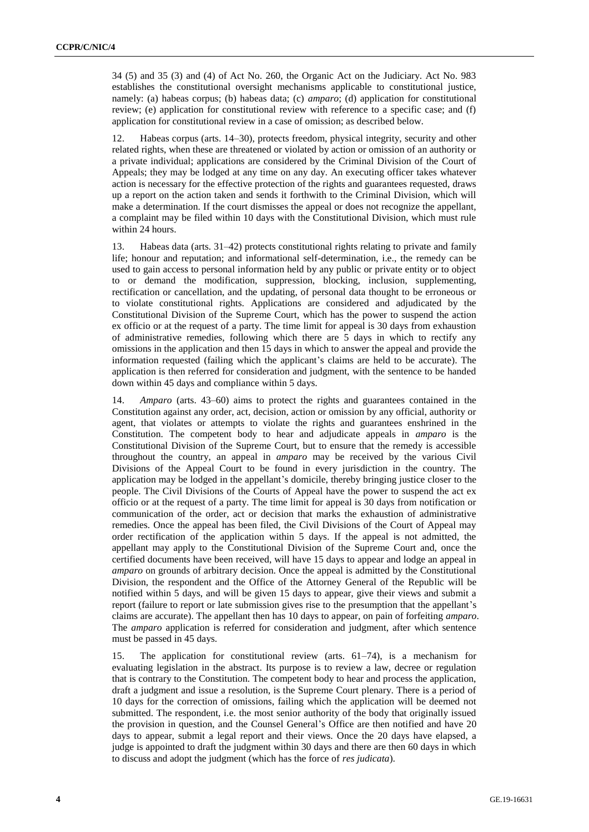34 (5) and 35 (3) and (4) of Act No. 260, the Organic Act on the Judiciary. Act No. 983 establishes the constitutional oversight mechanisms applicable to constitutional justice, namely: (a) habeas corpus; (b) habeas data; (c) *amparo*; (d) application for constitutional review; (e) application for constitutional review with reference to a specific case; and (f) application for constitutional review in a case of omission; as described below.

12. Habeas corpus (arts. 14–30), protects freedom, physical integrity, security and other related rights, when these are threatened or violated by action or omission of an authority or a private individual; applications are considered by the Criminal Division of the Court of Appeals; they may be lodged at any time on any day. An executing officer takes whatever action is necessary for the effective protection of the rights and guarantees requested, draws up a report on the action taken and sends it forthwith to the Criminal Division, which will make a determination. If the court dismisses the appeal or does not recognize the appellant, a complaint may be filed within 10 days with the Constitutional Division, which must rule within 24 hours.

13. Habeas data (arts. 31–42) protects constitutional rights relating to private and family life; honour and reputation; and informational self-determination, i.e., the remedy can be used to gain access to personal information held by any public or private entity or to object to or demand the modification, suppression, blocking, inclusion, supplementing, rectification or cancellation, and the updating, of personal data thought to be erroneous or to violate constitutional rights. Applications are considered and adjudicated by the Constitutional Division of the Supreme Court, which has the power to suspend the action ex officio or at the request of a party. The time limit for appeal is 30 days from exhaustion of administrative remedies, following which there are 5 days in which to rectify any omissions in the application and then 15 days in which to answer the appeal and provide the information requested (failing which the applicant's claims are held to be accurate). The application is then referred for consideration and judgment, with the sentence to be handed down within 45 days and compliance within 5 days.

14. *Amparo* (arts. 43–60) aims to protect the rights and guarantees contained in the Constitution against any order, act, decision, action or omission by any official, authority or agent, that violates or attempts to violate the rights and guarantees enshrined in the Constitution. The competent body to hear and adjudicate appeals in *amparo* is the Constitutional Division of the Supreme Court, but to ensure that the remedy is accessible throughout the country, an appeal in *amparo* may be received by the various Civil Divisions of the Appeal Court to be found in every jurisdiction in the country. The application may be lodged in the appellant's domicile, thereby bringing justice closer to the people. The Civil Divisions of the Courts of Appeal have the power to suspend the act ex officio or at the request of a party. The time limit for appeal is 30 days from notification or communication of the order, act or decision that marks the exhaustion of administrative remedies. Once the appeal has been filed, the Civil Divisions of the Court of Appeal may order rectification of the application within 5 days. If the appeal is not admitted, the appellant may apply to the Constitutional Division of the Supreme Court and, once the certified documents have been received, will have 15 days to appear and lodge an appeal in *amparo* on grounds of arbitrary decision. Once the appeal is admitted by the Constitutional Division, the respondent and the Office of the Attorney General of the Republic will be notified within 5 days, and will be given 15 days to appear, give their views and submit a report (failure to report or late submission gives rise to the presumption that the appellant's claims are accurate). The appellant then has 10 days to appear, on pain of forfeiting *amparo*. The *amparo* application is referred for consideration and judgment, after which sentence must be passed in 45 days.

15. The application for constitutional review (arts. 61–74), is a mechanism for evaluating legislation in the abstract. Its purpose is to review a law, decree or regulation that is contrary to the Constitution. The competent body to hear and process the application, draft a judgment and issue a resolution, is the Supreme Court plenary. There is a period of 10 days for the correction of omissions, failing which the application will be deemed not submitted. The respondent, i.e. the most senior authority of the body that originally issued the provision in question, and the Counsel General's Office are then notified and have 20 days to appear, submit a legal report and their views. Once the 20 days have elapsed, a judge is appointed to draft the judgment within 30 days and there are then 60 days in which to discuss and adopt the judgment (which has the force of *res judicata*).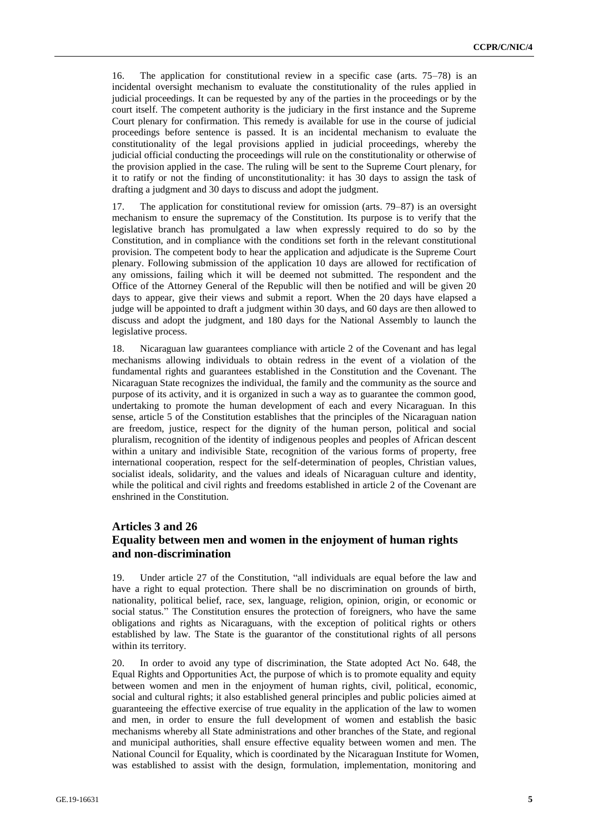16. The application for constitutional review in a specific case (arts. 75–78) is an incidental oversight mechanism to evaluate the constitutionality of the rules applied in judicial proceedings. It can be requested by any of the parties in the proceedings or by the court itself. The competent authority is the judiciary in the first instance and the Supreme Court plenary for confirmation. This remedy is available for use in the course of judicial proceedings before sentence is passed. It is an incidental mechanism to evaluate the constitutionality of the legal provisions applied in judicial proceedings, whereby the judicial official conducting the proceedings will rule on the constitutionality or otherwise of the provision applied in the case. The ruling will be sent to the Supreme Court plenary, for it to ratify or not the finding of unconstitutionality: it has 30 days to assign the task of drafting a judgment and 30 days to discuss and adopt the judgment.

17. The application for constitutional review for omission (arts. 79–87) is an oversight mechanism to ensure the supremacy of the Constitution. Its purpose is to verify that the legislative branch has promulgated a law when expressly required to do so by the Constitution, and in compliance with the conditions set forth in the relevant constitutional provision. The competent body to hear the application and adjudicate is the Supreme Court plenary. Following submission of the application 10 days are allowed for rectification of any omissions, failing which it will be deemed not submitted. The respondent and the Office of the Attorney General of the Republic will then be notified and will be given 20 days to appear, give their views and submit a report. When the 20 days have elapsed a judge will be appointed to draft a judgment within 30 days, and 60 days are then allowed to discuss and adopt the judgment, and 180 days for the National Assembly to launch the legislative process.

18. Nicaraguan law guarantees compliance with article 2 of the Covenant and has legal mechanisms allowing individuals to obtain redress in the event of a violation of the fundamental rights and guarantees established in the Constitution and the Covenant. The Nicaraguan State recognizes the individual, the family and the community as the source and purpose of its activity, and it is organized in such a way as to guarantee the common good, undertaking to promote the human development of each and every Nicaraguan. In this sense, article 5 of the Constitution establishes that the principles of the Nicaraguan nation are freedom, justice, respect for the dignity of the human person, political and social pluralism, recognition of the identity of indigenous peoples and peoples of African descent within a unitary and indivisible State, recognition of the various forms of property, free international cooperation, respect for the self-determination of peoples, Christian values, socialist ideals, solidarity, and the values and ideals of Nicaraguan culture and identity, while the political and civil rights and freedoms established in article 2 of the Covenant are enshrined in the Constitution.

## **Articles 3 and 26 Equality between men and women in the enjoyment of human rights and non-discrimination**

19. Under article 27 of the Constitution, "all individuals are equal before the law and have a right to equal protection. There shall be no discrimination on grounds of birth, nationality, political belief, race, sex, language, religion, opinion, origin, or economic or social status." The Constitution ensures the protection of foreigners, who have the same obligations and rights as Nicaraguans, with the exception of political rights or others established by law. The State is the guarantor of the constitutional rights of all persons within its territory.

20. In order to avoid any type of discrimination, the State adopted Act No. 648, the Equal Rights and Opportunities Act, the purpose of which is to promote equality and equity between women and men in the enjoyment of human rights, civil, political, economic, social and cultural rights; it also established general principles and public policies aimed at guaranteeing the effective exercise of true equality in the application of the law to women and men, in order to ensure the full development of women and establish the basic mechanisms whereby all State administrations and other branches of the State, and regional and municipal authorities, shall ensure effective equality between women and men. The National Council for Equality, which is coordinated by the Nicaraguan Institute for Women, was established to assist with the design, formulation, implementation, monitoring and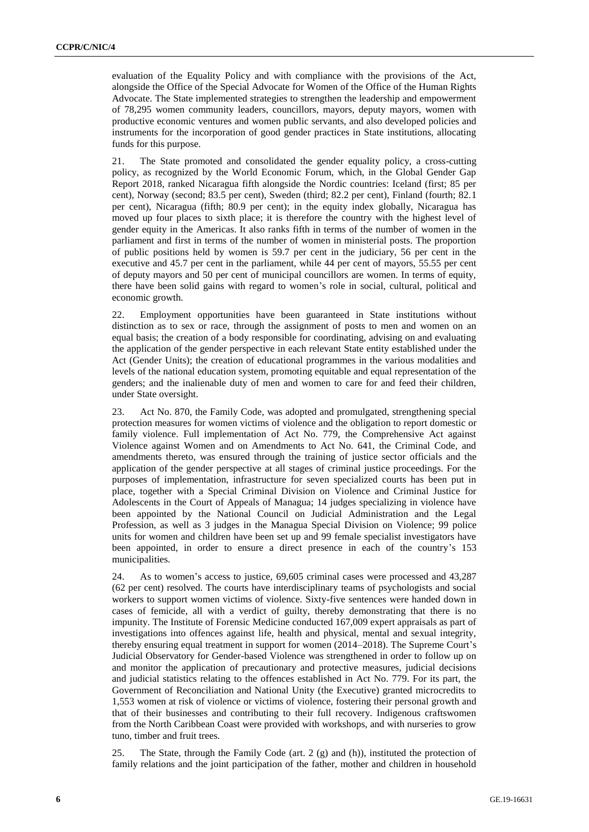evaluation of the Equality Policy and with compliance with the provisions of the Act, alongside the Office of the Special Advocate for Women of the Office of the Human Rights Advocate. The State implemented strategies to strengthen the leadership and empowerment of 78,295 women community leaders, councillors, mayors, deputy mayors, women with productive economic ventures and women public servants, and also developed policies and instruments for the incorporation of good gender practices in State institutions, allocating funds for this purpose.

21. The State promoted and consolidated the gender equality policy, a cross-cutting policy, as recognized by the World Economic Forum, which, in the Global Gender Gap Report 2018, ranked Nicaragua fifth alongside the Nordic countries: Iceland (first; 85 per cent), Norway (second; 83.5 per cent), Sweden (third; 82.2 per cent), Finland (fourth; 82.1 per cent), Nicaragua (fifth; 80.9 per cent); in the equity index globally, Nicaragua has moved up four places to sixth place; it is therefore the country with the highest level of gender equity in the Americas. It also ranks fifth in terms of the number of women in the parliament and first in terms of the number of women in ministerial posts. The proportion of public positions held by women is 59.7 per cent in the judiciary, 56 per cent in the executive and 45.7 per cent in the parliament, while 44 per cent of mayors, 55.55 per cent of deputy mayors and 50 per cent of municipal councillors are women. In terms of equity, there have been solid gains with regard to women's role in social, cultural, political and economic growth.

22. Employment opportunities have been guaranteed in State institutions without distinction as to sex or race, through the assignment of posts to men and women on an equal basis; the creation of a body responsible for coordinating, advising on and evaluating the application of the gender perspective in each relevant State entity established under the Act (Gender Units); the creation of educational programmes in the various modalities and levels of the national education system, promoting equitable and equal representation of the genders; and the inalienable duty of men and women to care for and feed their children, under State oversight.

23. Act No. 870, the Family Code, was adopted and promulgated, strengthening special protection measures for women victims of violence and the obligation to report domestic or family violence. Full implementation of Act No. 779, the Comprehensive Act against Violence against Women and on Amendments to Act No. 641, the Criminal Code, and amendments thereto, was ensured through the training of justice sector officials and the application of the gender perspective at all stages of criminal justice proceedings. For the purposes of implementation, infrastructure for seven specialized courts has been put in place, together with a Special Criminal Division on Violence and Criminal Justice for Adolescents in the Court of Appeals of Managua; 14 judges specializing in violence have been appointed by the National Council on Judicial Administration and the Legal Profession, as well as 3 judges in the Managua Special Division on Violence; 99 police units for women and children have been set up and 99 female specialist investigators have been appointed, in order to ensure a direct presence in each of the country's 153 municipalities.

24. As to women's access to justice, 69,605 criminal cases were processed and 43,287 (62 per cent) resolved. The courts have interdisciplinary teams of psychologists and social workers to support women victims of violence. Sixty-five sentences were handed down in cases of femicide, all with a verdict of guilty, thereby demonstrating that there is no impunity. The Institute of Forensic Medicine conducted 167,009 expert appraisals as part of investigations into offences against life, health and physical, mental and sexual integrity, thereby ensuring equal treatment in support for women (2014–2018). The Supreme Court's Judicial Observatory for Gender-based Violence was strengthened in order to follow up on and monitor the application of precautionary and protective measures, judicial decisions and judicial statistics relating to the offences established in Act No. 779. For its part, the Government of Reconciliation and National Unity (the Executive) granted microcredits to 1,553 women at risk of violence or victims of violence, fostering their personal growth and that of their businesses and contributing to their full recovery. Indigenous craftswomen from the North Caribbean Coast were provided with workshops, and with nurseries to grow tuno, timber and fruit trees.

25. The State, through the Family Code (art. 2 (g) and (h)), instituted the protection of family relations and the joint participation of the father, mother and children in household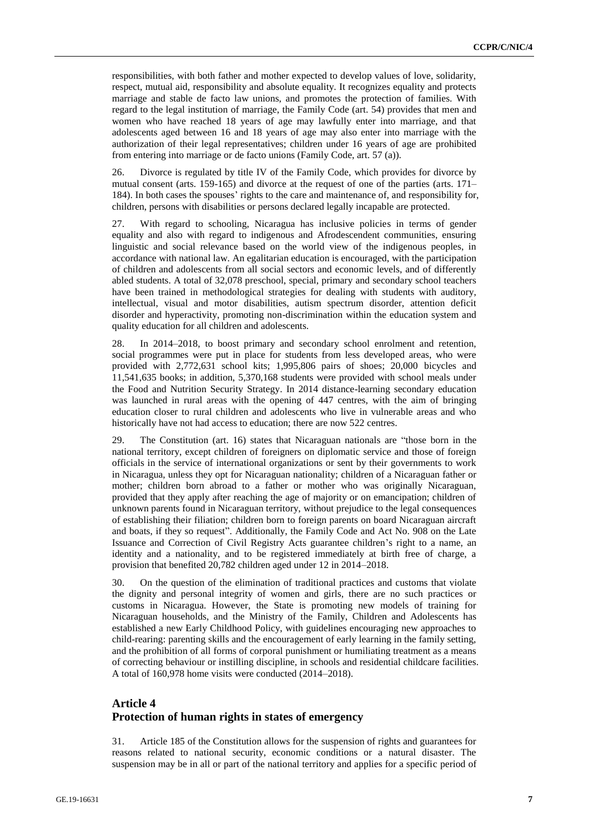responsibilities, with both father and mother expected to develop values of love, solidarity, respect, mutual aid, responsibility and absolute equality. It recognizes equality and protects marriage and stable de facto law unions, and promotes the protection of families. With regard to the legal institution of marriage, the Family Code (art. 54) provides that men and women who have reached 18 years of age may lawfully enter into marriage, and that adolescents aged between 16 and 18 years of age may also enter into marriage with the authorization of their legal representatives; children under 16 years of age are prohibited from entering into marriage or de facto unions (Family Code, art. 57 (a)).

26. Divorce is regulated by title IV of the Family Code, which provides for divorce by mutual consent (arts. 159-165) and divorce at the request of one of the parties (arts. 171– 184). In both cases the spouses' rights to the care and maintenance of, and responsibility for, children, persons with disabilities or persons declared legally incapable are protected.

27. With regard to schooling, Nicaragua has inclusive policies in terms of gender equality and also with regard to indigenous and Afrodescendent communities, ensuring linguistic and social relevance based on the world view of the indigenous peoples, in accordance with national law. An egalitarian education is encouraged, with the participation of children and adolescents from all social sectors and economic levels, and of differently abled students. A total of 32,078 preschool, special, primary and secondary school teachers have been trained in methodological strategies for dealing with students with auditory, intellectual, visual and motor disabilities, autism spectrum disorder, attention deficit disorder and hyperactivity, promoting non-discrimination within the education system and quality education for all children and adolescents.

28. In 2014–2018, to boost primary and secondary school enrolment and retention, social programmes were put in place for students from less developed areas, who were provided with 2,772,631 school kits; 1,995,806 pairs of shoes; 20,000 bicycles and 11,541,635 books; in addition, 5,370,168 students were provided with school meals under the Food and Nutrition Security Strategy. In 2014 distance-learning secondary education was launched in rural areas with the opening of 447 centres, with the aim of bringing education closer to rural children and adolescents who live in vulnerable areas and who historically have not had access to education; there are now 522 centres.

29. The Constitution (art. 16) states that Nicaraguan nationals are "those born in the national territory, except children of foreigners on diplomatic service and those of foreign officials in the service of international organizations or sent by their governments to work in Nicaragua, unless they opt for Nicaraguan nationality; children of a Nicaraguan father or mother; children born abroad to a father or mother who was originally Nicaraguan, provided that they apply after reaching the age of majority or on emancipation; children of unknown parents found in Nicaraguan territory, without prejudice to the legal consequences of establishing their filiation; children born to foreign parents on board Nicaraguan aircraft and boats, if they so request". Additionally, the Family Code and Act No. 908 on the Late Issuance and Correction of Civil Registry Acts guarantee children's right to a name, an identity and a nationality, and to be registered immediately at birth free of charge, a provision that benefited 20,782 children aged under 12 in 2014–2018.

30. On the question of the elimination of traditional practices and customs that violate the dignity and personal integrity of women and girls, there are no such practices or customs in Nicaragua. However, the State is promoting new models of training for Nicaraguan households, and the Ministry of the Family, Children and Adolescents has established a new Early Childhood Policy, with guidelines encouraging new approaches to child-rearing: parenting skills and the encouragement of early learning in the family setting, and the prohibition of all forms of corporal punishment or humiliating treatment as a means of correcting behaviour or instilling discipline, in schools and residential childcare facilities. A total of 160,978 home visits were conducted (2014–2018).

# **Article 4 Protection of human rights in states of emergency**

31. Article 185 of the Constitution allows for the suspension of rights and guarantees for reasons related to national security, economic conditions or a natural disaster. The suspension may be in all or part of the national territory and applies for a specific period of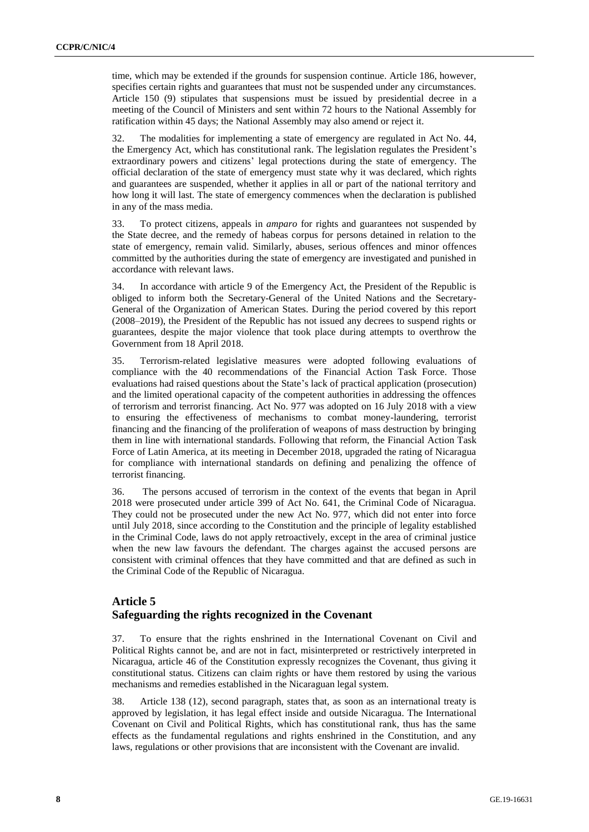time, which may be extended if the grounds for suspension continue. Article 186, however, specifies certain rights and guarantees that must not be suspended under any circumstances. Article 150 (9) stipulates that suspensions must be issued by presidential decree in a meeting of the Council of Ministers and sent within 72 hours to the National Assembly for ratification within 45 days; the National Assembly may also amend or reject it.

32. The modalities for implementing a state of emergency are regulated in Act No. 44, the Emergency Act, which has constitutional rank. The legislation regulates the President's extraordinary powers and citizens' legal protections during the state of emergency. The official declaration of the state of emergency must state why it was declared, which rights and guarantees are suspended, whether it applies in all or part of the national territory and how long it will last. The state of emergency commences when the declaration is published in any of the mass media.

33. To protect citizens, appeals in *amparo* for rights and guarantees not suspended by the State decree, and the remedy of habeas corpus for persons detained in relation to the state of emergency, remain valid. Similarly, abuses, serious offences and minor offences committed by the authorities during the state of emergency are investigated and punished in accordance with relevant laws.

34. In accordance with article 9 of the Emergency Act, the President of the Republic is obliged to inform both the Secretary-General of the United Nations and the Secretary-General of the Organization of American States. During the period covered by this report (2008–2019), the President of the Republic has not issued any decrees to suspend rights or guarantees, despite the major violence that took place during attempts to overthrow the Government from 18 April 2018.

35. Terrorism-related legislative measures were adopted following evaluations of compliance with the 40 recommendations of the Financial Action Task Force. Those evaluations had raised questions about the State's lack of practical application (prosecution) and the limited operational capacity of the competent authorities in addressing the offences of terrorism and terrorist financing. Act No. 977 was adopted on 16 July 2018 with a view to ensuring the effectiveness of mechanisms to combat money-laundering, terrorist financing and the financing of the proliferation of weapons of mass destruction by bringing them in line with international standards. Following that reform, the Financial Action Task Force of Latin America, at its meeting in December 2018, upgraded the rating of Nicaragua for compliance with international standards on defining and penalizing the offence of terrorist financing.

36. The persons accused of terrorism in the context of the events that began in April 2018 were prosecuted under article 399 of Act No. 641, the Criminal Code of Nicaragua. They could not be prosecuted under the new Act No. 977, which did not enter into force until July 2018, since according to the Constitution and the principle of legality established in the Criminal Code, laws do not apply retroactively, except in the area of criminal justice when the new law favours the defendant. The charges against the accused persons are consistent with criminal offences that they have committed and that are defined as such in the Criminal Code of the Republic of Nicaragua.

## **Article 5 Safeguarding the rights recognized in the Covenant**

37. To ensure that the rights enshrined in the International Covenant on Civil and Political Rights cannot be, and are not in fact, misinterpreted or restrictively interpreted in Nicaragua, article 46 of the Constitution expressly recognizes the Covenant, thus giving it constitutional status. Citizens can claim rights or have them restored by using the various mechanisms and remedies established in the Nicaraguan legal system.

38. Article 138 (12), second paragraph, states that, as soon as an international treaty is approved by legislation, it has legal effect inside and outside Nicaragua. The International Covenant on Civil and Political Rights, which has constitutional rank, thus has the same effects as the fundamental regulations and rights enshrined in the Constitution, and any laws, regulations or other provisions that are inconsistent with the Covenant are invalid.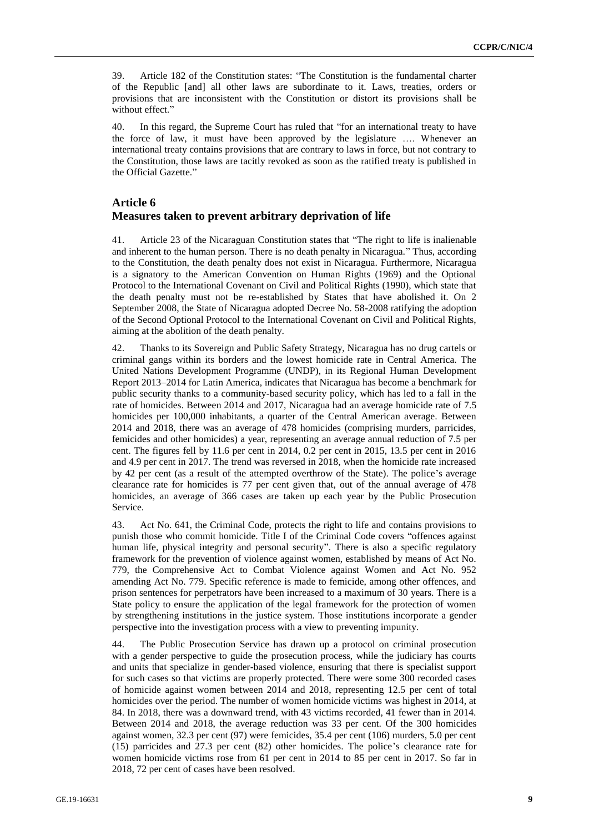39. Article 182 of the Constitution states: "The Constitution is the fundamental charter of the Republic [and] all other laws are subordinate to it. Laws, treaties, orders or provisions that are inconsistent with the Constitution or distort its provisions shall be without effect."

40. In this regard, the Supreme Court has ruled that "for an international treaty to have the force of law, it must have been approved by the legislature …. Whenever an international treaty contains provisions that are contrary to laws in force, but not contrary to the Constitution, those laws are tacitly revoked as soon as the ratified treaty is published in the Official Gazette."

#### **Article 6**

#### **Measures taken to prevent arbitrary deprivation of life**

41. Article 23 of the Nicaraguan Constitution states that "The right to life is inalienable and inherent to the human person. There is no death penalty in Nicaragua." Thus, according to the Constitution, the death penalty does not exist in Nicaragua. Furthermore, Nicaragua is a signatory to the American Convention on Human Rights (1969) and the Optional Protocol to the International Covenant on Civil and Political Rights (1990), which state that the death penalty must not be re-established by States that have abolished it. On 2 September 2008, the State of Nicaragua adopted Decree No. 58-2008 ratifying the adoption of the Second Optional Protocol to the International Covenant on Civil and Political Rights, aiming at the abolition of the death penalty.

42. Thanks to its Sovereign and Public Safety Strategy, Nicaragua has no drug cartels or criminal gangs within its borders and the lowest homicide rate in Central America. The United Nations Development Programme (UNDP), in its Regional Human Development Report 2013–2014 for Latin America, indicates that Nicaragua has become a benchmark for public security thanks to a community-based security policy, which has led to a fall in the rate of homicides. Between 2014 and 2017, Nicaragua had an average homicide rate of 7.5 homicides per 100,000 inhabitants, a quarter of the Central American average. Between 2014 and 2018, there was an average of 478 homicides (comprising murders, parricides, femicides and other homicides) a year, representing an average annual reduction of 7.5 per cent. The figures fell by 11.6 per cent in 2014, 0.2 per cent in 2015, 13.5 per cent in 2016 and 4.9 per cent in 2017. The trend was reversed in 2018, when the homicide rate increased by 42 per cent (as a result of the attempted overthrow of the State). The police's average clearance rate for homicides is 77 per cent given that, out of the annual average of 478 homicides, an average of 366 cases are taken up each year by the Public Prosecution Service.

43. Act No. 641, the Criminal Code, protects the right to life and contains provisions to punish those who commit homicide. Title I of the Criminal Code covers "offences against human life, physical integrity and personal security". There is also a specific regulatory framework for the prevention of violence against women, established by means of Act No. 779, the Comprehensive Act to Combat Violence against Women and Act No. 952 amending Act No. 779. Specific reference is made to femicide, among other offences, and prison sentences for perpetrators have been increased to a maximum of 30 years. There is a State policy to ensure the application of the legal framework for the protection of women by strengthening institutions in the justice system. Those institutions incorporate a gender perspective into the investigation process with a view to preventing impunity.

44. The Public Prosecution Service has drawn up a protocol on criminal prosecution with a gender perspective to guide the prosecution process, while the judiciary has courts and units that specialize in gender-based violence, ensuring that there is specialist support for such cases so that victims are properly protected. There were some 300 recorded cases of homicide against women between 2014 and 2018, representing 12.5 per cent of total homicides over the period. The number of women homicide victims was highest in 2014, at 84. In 2018, there was a downward trend, with 43 victims recorded, 41 fewer than in 2014. Between 2014 and 2018, the average reduction was 33 per cent. Of the 300 homicides against women, 32.3 per cent (97) were femicides, 35.4 per cent (106) murders, 5.0 per cent (15) parricides and 27.3 per cent (82) other homicides. The police's clearance rate for women homicide victims rose from 61 per cent in 2014 to 85 per cent in 2017. So far in 2018, 72 per cent of cases have been resolved.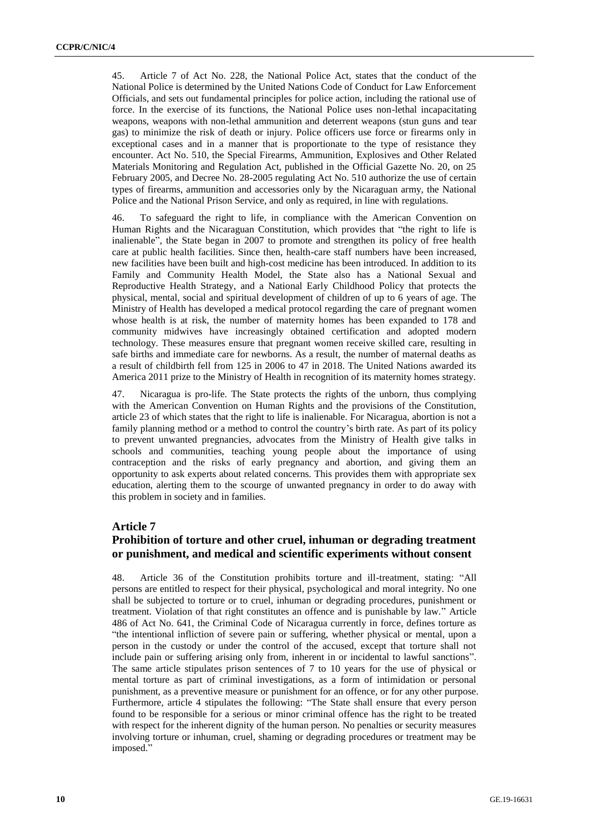45. Article 7 of Act No. 228, the National Police Act, states that the conduct of the National Police is determined by the United Nations Code of Conduct for Law Enforcement Officials, and sets out fundamental principles for police action, including the rational use of force. In the exercise of its functions, the National Police uses non-lethal incapacitating weapons, weapons with non-lethal ammunition and deterrent weapons (stun guns and tear gas) to minimize the risk of death or injury. Police officers use force or firearms only in exceptional cases and in a manner that is proportionate to the type of resistance they encounter. Act No. 510, the Special Firearms, Ammunition, Explosives and Other Related Materials Monitoring and Regulation Act, published in the Official Gazette No. 20, on 25 February 2005, and Decree No. 28-2005 regulating Act No. 510 authorize the use of certain types of firearms, ammunition and accessories only by the Nicaraguan army, the National Police and the National Prison Service, and only as required, in line with regulations.

46. To safeguard the right to life, in compliance with the American Convention on Human Rights and the Nicaraguan Constitution, which provides that "the right to life is inalienable", the State began in 2007 to promote and strengthen its policy of free health care at public health facilities. Since then, health-care staff numbers have been increased, new facilities have been built and high-cost medicine has been introduced. In addition to its Family and Community Health Model, the State also has a National Sexual and Reproductive Health Strategy, and a National Early Childhood Policy that protects the physical, mental, social and spiritual development of children of up to 6 years of age. The Ministry of Health has developed a medical protocol regarding the care of pregnant women whose health is at risk, the number of maternity homes has been expanded to 178 and community midwives have increasingly obtained certification and adopted modern technology. These measures ensure that pregnant women receive skilled care, resulting in safe births and immediate care for newborns. As a result, the number of maternal deaths as a result of childbirth fell from 125 in 2006 to 47 in 2018. The United Nations awarded its America 2011 prize to the Ministry of Health in recognition of its maternity homes strategy.

47. Nicaragua is pro-life. The State protects the rights of the unborn, thus complying with the American Convention on Human Rights and the provisions of the Constitution, article 23 of which states that the right to life is inalienable. For Nicaragua, abortion is not a family planning method or a method to control the country's birth rate. As part of its policy to prevent unwanted pregnancies, advocates from the Ministry of Health give talks in schools and communities, teaching young people about the importance of using contraception and the risks of early pregnancy and abortion, and giving them an opportunity to ask experts about related concerns. This provides them with appropriate sex education, alerting them to the scourge of unwanted pregnancy in order to do away with this problem in society and in families.

#### **Article 7**

# **Prohibition of torture and other cruel, inhuman or degrading treatment or punishment, and medical and scientific experiments without consent**

48. Article 36 of the Constitution prohibits torture and ill-treatment, stating: "All persons are entitled to respect for their physical, psychological and moral integrity. No one shall be subjected to torture or to cruel, inhuman or degrading procedures, punishment or treatment. Violation of that right constitutes an offence and is punishable by law." Article 486 of Act No. 641, the Criminal Code of Nicaragua currently in force, defines torture as "the intentional infliction of severe pain or suffering, whether physical or mental, upon a person in the custody or under the control of the accused, except that torture shall not include pain or suffering arising only from, inherent in or incidental to lawful sanctions". The same article stipulates prison sentences of 7 to 10 years for the use of physical or mental torture as part of criminal investigations, as a form of intimidation or personal punishment, as a preventive measure or punishment for an offence, or for any other purpose. Furthermore, article 4 stipulates the following: "The State shall ensure that every person found to be responsible for a serious or minor criminal offence has the right to be treated with respect for the inherent dignity of the human person. No penalties or security measures involving torture or inhuman, cruel, shaming or degrading procedures or treatment may be imposed."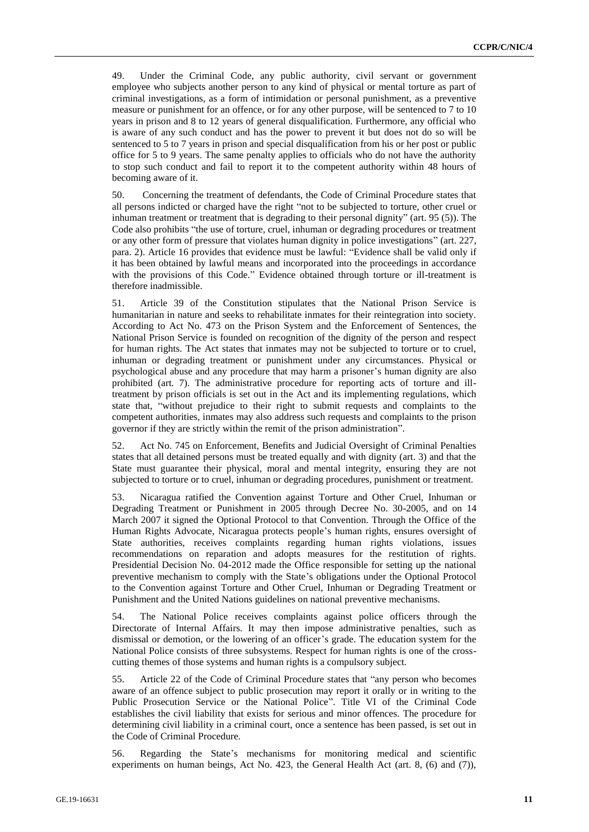49. Under the Criminal Code, any public authority, civil servant or government employee who subjects another person to any kind of physical or mental torture as part of criminal investigations, as a form of intimidation or personal punishment, as a preventive measure or punishment for an offence, or for any other purpose, will be sentenced to 7 to 10 years in prison and 8 to 12 years of general disqualification. Furthermore, any official who is aware of any such conduct and has the power to prevent it but does not do so will be sentenced to 5 to 7 years in prison and special disqualification from his or her post or public office for 5 to 9 years. The same penalty applies to officials who do not have the authority to stop such conduct and fail to report it to the competent authority within 48 hours of becoming aware of it.

50. Concerning the treatment of defendants, the Code of Criminal Procedure states that all persons indicted or charged have the right "not to be subjected to torture, other cruel or inhuman treatment or treatment that is degrading to their personal dignity" (art. 95 (5)). The Code also prohibits "the use of torture, cruel, inhuman or degrading procedures or treatment or any other form of pressure that violates human dignity in police investigations" (art. 227, para. 2). Article 16 provides that evidence must be lawful: "Evidence shall be valid only if it has been obtained by lawful means and incorporated into the proceedings in accordance with the provisions of this Code." Evidence obtained through torture or ill-treatment is therefore inadmissible.

51. Article 39 of the Constitution stipulates that the National Prison Service is humanitarian in nature and seeks to rehabilitate inmates for their reintegration into society. According to Act No. 473 on the Prison System and the Enforcement of Sentences, the National Prison Service is founded on recognition of the dignity of the person and respect for human rights. The Act states that inmates may not be subjected to torture or to cruel, inhuman or degrading treatment or punishment under any circumstances. Physical or psychological abuse and any procedure that may harm a prisoner's human dignity are also prohibited (art. 7). The administrative procedure for reporting acts of torture and illtreatment by prison officials is set out in the Act and its implementing regulations, which state that, "without prejudice to their right to submit requests and complaints to the competent authorities, inmates may also address such requests and complaints to the prison governor if they are strictly within the remit of the prison administration".

52. Act No. 745 on Enforcement, Benefits and Judicial Oversight of Criminal Penalties states that all detained persons must be treated equally and with dignity (art. 3) and that the State must guarantee their physical, moral and mental integrity, ensuring they are not subjected to torture or to cruel, inhuman or degrading procedures, punishment or treatment.

53. Nicaragua ratified the Convention against Torture and Other Cruel, Inhuman or Degrading Treatment or Punishment in 2005 through Decree No. 30-2005, and on 14 March 2007 it signed the Optional Protocol to that Convention. Through the Office of the Human Rights Advocate, Nicaragua protects people's human rights, ensures oversight of State authorities, receives complaints regarding human rights violations, issues recommendations on reparation and adopts measures for the restitution of rights. Presidential Decision No. 04-2012 made the Office responsible for setting up the national preventive mechanism to comply with the State's obligations under the Optional Protocol to the Convention against Torture and Other Cruel, Inhuman or Degrading Treatment or Punishment and the United Nations guidelines on national preventive mechanisms.

54. The National Police receives complaints against police officers through the Directorate of Internal Affairs. It may then impose administrative penalties, such as dismissal or demotion, or the lowering of an officer's grade. The education system for the National Police consists of three subsystems. Respect for human rights is one of the crosscutting themes of those systems and human rights is a compulsory subject.

55. Article 22 of the Code of Criminal Procedure states that "any person who becomes aware of an offence subject to public prosecution may report it orally or in writing to the Public Prosecution Service or the National Police". Title VI of the Criminal Code establishes the civil liability that exists for serious and minor offences. The procedure for determining civil liability in a criminal court, once a sentence has been passed, is set out in the Code of Criminal Procedure.

56. Regarding the State's mechanisms for monitoring medical and scientific experiments on human beings, Act No. 423, the General Health Act (art. 8, (6) and (7)),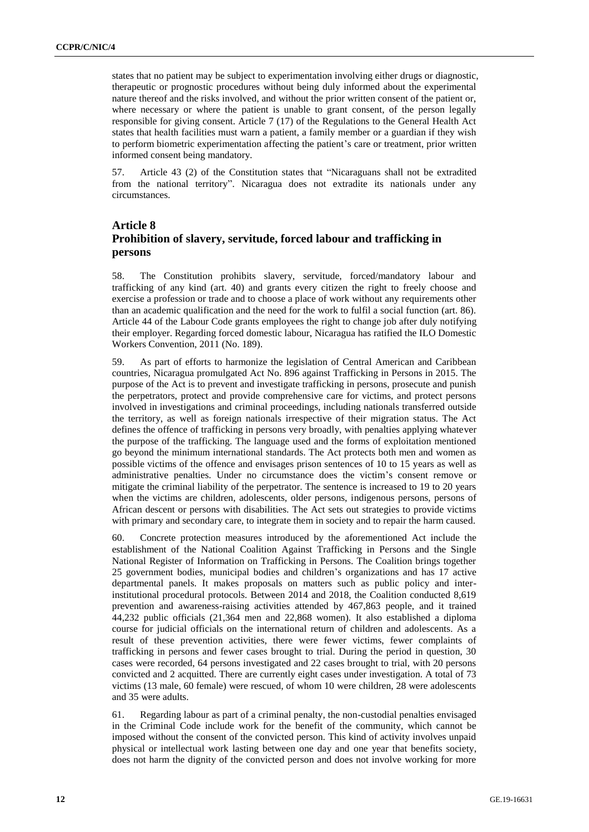states that no patient may be subject to experimentation involving either drugs or diagnostic, therapeutic or prognostic procedures without being duly informed about the experimental nature thereof and the risks involved, and without the prior written consent of the patient or, where necessary or where the patient is unable to grant consent, of the person legally responsible for giving consent. Article 7 (17) of the Regulations to the General Health Act states that health facilities must warn a patient, a family member or a guardian if they wish to perform biometric experimentation affecting the patient's care or treatment, prior written informed consent being mandatory.

57. Article 43 (2) of the Constitution states that "Nicaraguans shall not be extradited from the national territory". Nicaragua does not extradite its nationals under any circumstances.

# **Article 8 Prohibition of slavery, servitude, forced labour and trafficking in persons**

58. The Constitution prohibits slavery, servitude, forced/mandatory labour and trafficking of any kind (art. 40) and grants every citizen the right to freely choose and exercise a profession or trade and to choose a place of work without any requirements other than an academic qualification and the need for the work to fulfil a social function (art. 86). Article 44 of the Labour Code grants employees the right to change job after duly notifying their employer. Regarding forced domestic labour, Nicaragua has ratified the ILO Domestic Workers Convention, 2011 (No. 189).

59. As part of efforts to harmonize the legislation of Central American and Caribbean countries, Nicaragua promulgated Act No. 896 against Trafficking in Persons in 2015. The purpose of the Act is to prevent and investigate trafficking in persons, prosecute and punish the perpetrators, protect and provide comprehensive care for victims, and protect persons involved in investigations and criminal proceedings, including nationals transferred outside the territory, as well as foreign nationals irrespective of their migration status. The Act defines the offence of trafficking in persons very broadly, with penalties applying whatever the purpose of the trafficking. The language used and the forms of exploitation mentioned go beyond the minimum international standards. The Act protects both men and women as possible victims of the offence and envisages prison sentences of 10 to 15 years as well as administrative penalties. Under no circumstance does the victim's consent remove or mitigate the criminal liability of the perpetrator. The sentence is increased to 19 to 20 years when the victims are children, adolescents, older persons, indigenous persons, persons of African descent or persons with disabilities. The Act sets out strategies to provide victims with primary and secondary care, to integrate them in society and to repair the harm caused.

60. Concrete protection measures introduced by the aforementioned Act include the establishment of the National Coalition Against Trafficking in Persons and the Single National Register of Information on Trafficking in Persons. The Coalition brings together 25 government bodies, municipal bodies and children's organizations and has 17 active departmental panels. It makes proposals on matters such as public policy and interinstitutional procedural protocols. Between 2014 and 2018, the Coalition conducted 8,619 prevention and awareness-raising activities attended by 467,863 people, and it trained 44,232 public officials (21,364 men and 22,868 women). It also established a diploma course for judicial officials on the international return of children and adolescents. As a result of these prevention activities, there were fewer victims, fewer complaints of trafficking in persons and fewer cases brought to trial. During the period in question, 30 cases were recorded, 64 persons investigated and 22 cases brought to trial, with 20 persons convicted and 2 acquitted. There are currently eight cases under investigation. A total of 73 victims (13 male, 60 female) were rescued, of whom 10 were children, 28 were adolescents and 35 were adults.

61. Regarding labour as part of a criminal penalty, the non-custodial penalties envisaged in the Criminal Code include work for the benefit of the community, which cannot be imposed without the consent of the convicted person. This kind of activity involves unpaid physical or intellectual work lasting between one day and one year that benefits society, does not harm the dignity of the convicted person and does not involve working for more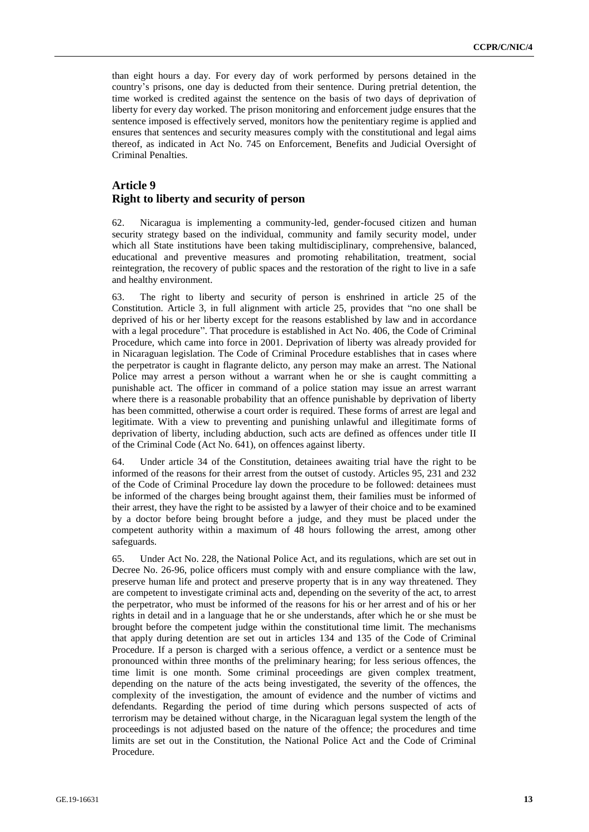than eight hours a day. For every day of work performed by persons detained in the country's prisons, one day is deducted from their sentence. During pretrial detention, the time worked is credited against the sentence on the basis of two days of deprivation of liberty for every day worked. The prison monitoring and enforcement judge ensures that the sentence imposed is effectively served, monitors how the penitentiary regime is applied and ensures that sentences and security measures comply with the constitutional and legal aims thereof, as indicated in Act No. 745 on Enforcement, Benefits and Judicial Oversight of Criminal Penalties.

## **Article 9 Right to liberty and security of person**

62. Nicaragua is implementing a community-led, gender-focused citizen and human security strategy based on the individual, community and family security model, under which all State institutions have been taking multidisciplinary, comprehensive, balanced, educational and preventive measures and promoting rehabilitation, treatment, social reintegration, the recovery of public spaces and the restoration of the right to live in a safe and healthy environment.

63. The right to liberty and security of person is enshrined in article 25 of the Constitution. Article 3, in full alignment with article 25, provides that "no one shall be deprived of his or her liberty except for the reasons established by law and in accordance with a legal procedure". That procedure is established in Act No. 406, the Code of Criminal Procedure, which came into force in 2001. Deprivation of liberty was already provided for in Nicaraguan legislation. The Code of Criminal Procedure establishes that in cases where the perpetrator is caught in flagrante delicto, any person may make an arrest. The National Police may arrest a person without a warrant when he or she is caught committing a punishable act. The officer in command of a police station may issue an arrest warrant where there is a reasonable probability that an offence punishable by deprivation of liberty has been committed, otherwise a court order is required. These forms of arrest are legal and legitimate. With a view to preventing and punishing unlawful and illegitimate forms of deprivation of liberty, including abduction, such acts are defined as offences under title II of the Criminal Code (Act No. 641), on offences against liberty.

64. Under article 34 of the Constitution, detainees awaiting trial have the right to be informed of the reasons for their arrest from the outset of custody. Articles 95, 231 and 232 of the Code of Criminal Procedure lay down the procedure to be followed: detainees must be informed of the charges being brought against them, their families must be informed of their arrest, they have the right to be assisted by a lawyer of their choice and to be examined by a doctor before being brought before a judge, and they must be placed under the competent authority within a maximum of 48 hours following the arrest, among other safeguards.

65. Under Act No. 228, the National Police Act, and its regulations, which are set out in Decree No. 26-96, police officers must comply with and ensure compliance with the law, preserve human life and protect and preserve property that is in any way threatened. They are competent to investigate criminal acts and, depending on the severity of the act, to arrest the perpetrator, who must be informed of the reasons for his or her arrest and of his or her rights in detail and in a language that he or she understands, after which he or she must be brought before the competent judge within the constitutional time limit. The mechanisms that apply during detention are set out in articles 134 and 135 of the Code of Criminal Procedure. If a person is charged with a serious offence, a verdict or a sentence must be pronounced within three months of the preliminary hearing; for less serious offences, the time limit is one month. Some criminal proceedings are given complex treatment, depending on the nature of the acts being investigated, the severity of the offences, the complexity of the investigation, the amount of evidence and the number of victims and defendants. Regarding the period of time during which persons suspected of acts of terrorism may be detained without charge, in the Nicaraguan legal system the length of the proceedings is not adjusted based on the nature of the offence; the procedures and time limits are set out in the Constitution, the National Police Act and the Code of Criminal Procedure.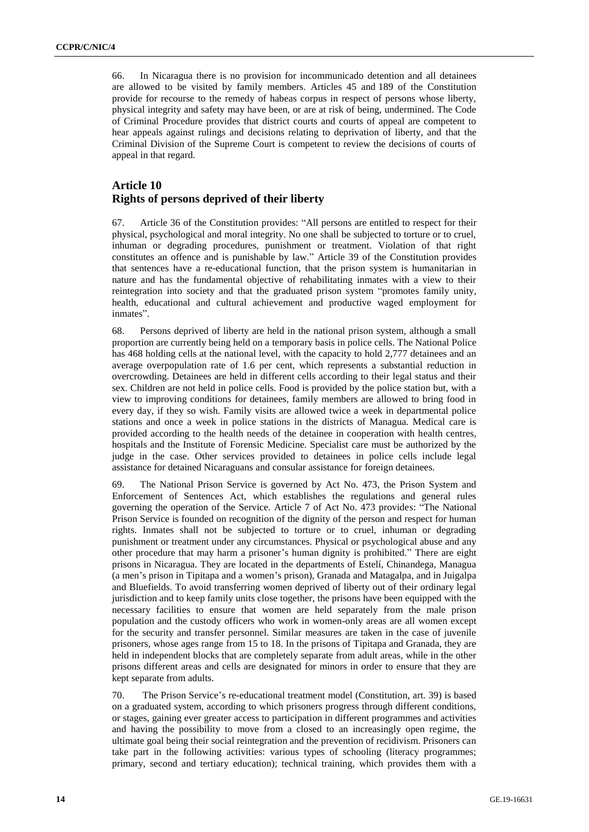66. In Nicaragua there is no provision for incommunicado detention and all detainees are allowed to be visited by family members. Articles 45 and 189 of the Constitution provide for recourse to the remedy of habeas corpus in respect of persons whose liberty, physical integrity and safety may have been, or are at risk of being, undermined. The Code of Criminal Procedure provides that district courts and courts of appeal are competent to hear appeals against rulings and decisions relating to deprivation of liberty, and that the Criminal Division of the Supreme Court is competent to review the decisions of courts of appeal in that regard.

## **Article 10 Rights of persons deprived of their liberty**

67. Article 36 of the Constitution provides: "All persons are entitled to respect for their physical, psychological and moral integrity. No one shall be subjected to torture or to cruel, inhuman or degrading procedures, punishment or treatment. Violation of that right constitutes an offence and is punishable by law." Article 39 of the Constitution provides that sentences have a re-educational function, that the prison system is humanitarian in nature and has the fundamental objective of rehabilitating inmates with a view to their reintegration into society and that the graduated prison system "promotes family unity, health, educational and cultural achievement and productive waged employment for inmates".

68. Persons deprived of liberty are held in the national prison system, although a small proportion are currently being held on a temporary basis in police cells. The National Police has 468 holding cells at the national level, with the capacity to hold 2,777 detainees and an average overpopulation rate of 1.6 per cent, which represents a substantial reduction in overcrowding. Detainees are held in different cells according to their legal status and their sex. Children are not held in police cells. Food is provided by the police station but, with a view to improving conditions for detainees, family members are allowed to bring food in every day, if they so wish. Family visits are allowed twice a week in departmental police stations and once a week in police stations in the districts of Managua. Medical care is provided according to the health needs of the detainee in cooperation with health centres, hospitals and the Institute of Forensic Medicine. Specialist care must be authorized by the judge in the case. Other services provided to detainees in police cells include legal assistance for detained Nicaraguans and consular assistance for foreign detainees.

69. The National Prison Service is governed by Act No. 473, the Prison System and Enforcement of Sentences Act, which establishes the regulations and general rules governing the operation of the Service. Article 7 of Act No. 473 provides: "The National Prison Service is founded on recognition of the dignity of the person and respect for human rights. Inmates shall not be subjected to torture or to cruel, inhuman or degrading punishment or treatment under any circumstances. Physical or psychological abuse and any other procedure that may harm a prisoner's human dignity is prohibited." There are eight prisons in Nicaragua. They are located in the departments of Estelí, Chinandega, Managua (a men's prison in Tipitapa and a women's prison), Granada and Matagalpa, and in Juigalpa and Bluefields. To avoid transferring women deprived of liberty out of their ordinary legal jurisdiction and to keep family units close together, the prisons have been equipped with the necessary facilities to ensure that women are held separately from the male prison population and the custody officers who work in women-only areas are all women except for the security and transfer personnel. Similar measures are taken in the case of juvenile prisoners, whose ages range from 15 to 18. In the prisons of Tipitapa and Granada, they are held in independent blocks that are completely separate from adult areas, while in the other prisons different areas and cells are designated for minors in order to ensure that they are kept separate from adults.

70. The Prison Service's re-educational treatment model (Constitution, art. 39) is based on a graduated system, according to which prisoners progress through different conditions, or stages, gaining ever greater access to participation in different programmes and activities and having the possibility to move from a closed to an increasingly open regime, the ultimate goal being their social reintegration and the prevention of recidivism. Prisoners can take part in the following activities: various types of schooling (literacy programmes; primary, second and tertiary education); technical training, which provides them with a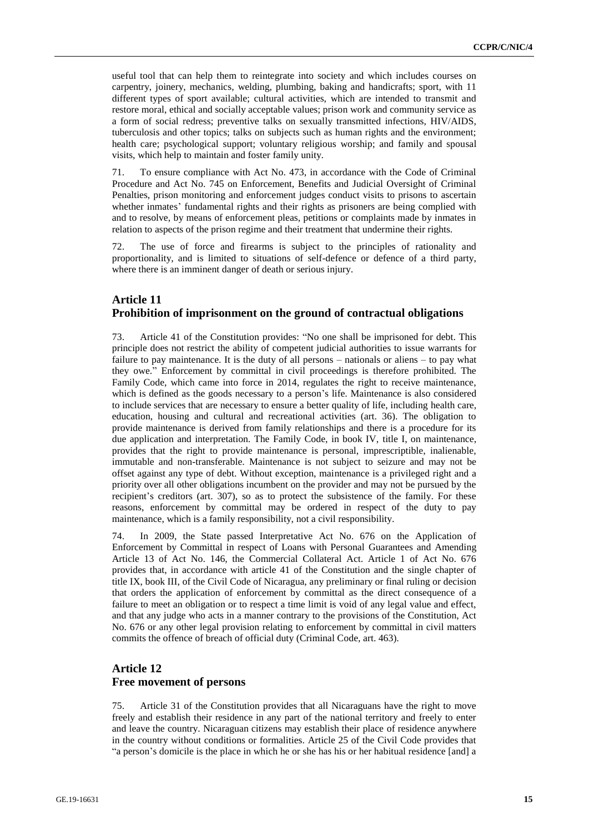useful tool that can help them to reintegrate into society and which includes courses on carpentry, joinery, mechanics, welding, plumbing, baking and handicrafts; sport, with 11 different types of sport available; cultural activities, which are intended to transmit and restore moral, ethical and socially acceptable values; prison work and community service as a form of social redress; preventive talks on sexually transmitted infections, HIV/AIDS, tuberculosis and other topics; talks on subjects such as human rights and the environment; health care; psychological support; voluntary religious worship; and family and spousal visits, which help to maintain and foster family unity.

71. To ensure compliance with Act No. 473, in accordance with the Code of Criminal Procedure and Act No. 745 on Enforcement, Benefits and Judicial Oversight of Criminal Penalties, prison monitoring and enforcement judges conduct visits to prisons to ascertain whether inmates' fundamental rights and their rights as prisoners are being complied with and to resolve, by means of enforcement pleas, petitions or complaints made by inmates in relation to aspects of the prison regime and their treatment that undermine their rights.

72. The use of force and firearms is subject to the principles of rationality and proportionality, and is limited to situations of self-defence or defence of a third party, where there is an imminent danger of death or serious injury.

## **Article 11 Prohibition of imprisonment on the ground of contractual obligations**

73. Article 41 of the Constitution provides: "No one shall be imprisoned for debt. This principle does not restrict the ability of competent judicial authorities to issue warrants for failure to pay maintenance. It is the duty of all persons – nationals or aliens – to pay what they owe." Enforcement by committal in civil proceedings is therefore prohibited. The Family Code, which came into force in 2014, regulates the right to receive maintenance, which is defined as the goods necessary to a person's life. Maintenance is also considered to include services that are necessary to ensure a better quality of life, including health care, education, housing and cultural and recreational activities (art. 36). The obligation to provide maintenance is derived from family relationships and there is a procedure for its due application and interpretation. The Family Code, in book IV, title I, on maintenance, provides that the right to provide maintenance is personal, imprescriptible, inalienable, immutable and non-transferable. Maintenance is not subject to seizure and may not be offset against any type of debt. Without exception, maintenance is a privileged right and a priority over all other obligations incumbent on the provider and may not be pursued by the recipient's creditors (art. 307), so as to protect the subsistence of the family. For these reasons, enforcement by committal may be ordered in respect of the duty to pay maintenance, which is a family responsibility, not a civil responsibility.

74. In 2009, the State passed Interpretative Act No. 676 on the Application of Enforcement by Committal in respect of Loans with Personal Guarantees and Amending Article 13 of Act No. 146, the Commercial Collateral Act. Article 1 of Act No. 676 provides that, in accordance with article 41 of the Constitution and the single chapter of title IX, book III, of the Civil Code of Nicaragua, any preliminary or final ruling or decision that orders the application of enforcement by committal as the direct consequence of a failure to meet an obligation or to respect a time limit is void of any legal value and effect, and that any judge who acts in a manner contrary to the provisions of the Constitution, Act No. 676 or any other legal provision relating to enforcement by committal in civil matters commits the offence of breach of official duty (Criminal Code, art. 463).

## **Article 12 Free movement of persons**

75. Article 31 of the Constitution provides that all Nicaraguans have the right to move freely and establish their residence in any part of the national territory and freely to enter and leave the country. Nicaraguan citizens may establish their place of residence anywhere in the country without conditions or formalities. Article 25 of the Civil Code provides that "a person's domicile is the place in which he or she has his or her habitual residence [and] a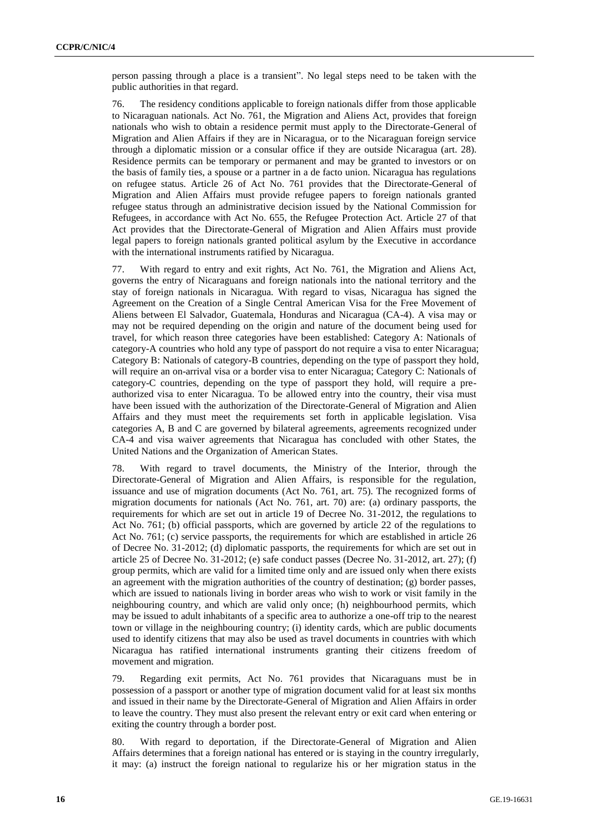person passing through a place is a transient". No legal steps need to be taken with the public authorities in that regard.

76. The residency conditions applicable to foreign nationals differ from those applicable to Nicaraguan nationals. Act No. 761, the Migration and Aliens Act, provides that foreign nationals who wish to obtain a residence permit must apply to the Directorate-General of Migration and Alien Affairs if they are in Nicaragua, or to the Nicaraguan foreign service through a diplomatic mission or a consular office if they are outside Nicaragua (art. 28). Residence permits can be temporary or permanent and may be granted to investors or on the basis of family ties, a spouse or a partner in a de facto union. Nicaragua has regulations on refugee status. Article 26 of Act No. 761 provides that the Directorate-General of Migration and Alien Affairs must provide refugee papers to foreign nationals granted refugee status through an administrative decision issued by the National Commission for Refugees, in accordance with Act No. 655, the Refugee Protection Act. Article 27 of that Act provides that the Directorate-General of Migration and Alien Affairs must provide legal papers to foreign nationals granted political asylum by the Executive in accordance with the international instruments ratified by Nicaragua.

77. With regard to entry and exit rights, Act No. 761, the Migration and Aliens Act, governs the entry of Nicaraguans and foreign nationals into the national territory and the stay of foreign nationals in Nicaragua. With regard to visas, Nicaragua has signed the Agreement on the Creation of a Single Central American Visa for the Free Movement of Aliens between El Salvador, Guatemala, Honduras and Nicaragua (CA-4). A visa may or may not be required depending on the origin and nature of the document being used for travel, for which reason three categories have been established: Category A: Nationals of category-A countries who hold any type of passport do not require a visa to enter Nicaragua; Category B: Nationals of category-B countries, depending on the type of passport they hold, will require an on-arrival visa or a border visa to enter Nicaragua; Category C: Nationals of category-C countries, depending on the type of passport they hold, will require a preauthorized visa to enter Nicaragua. To be allowed entry into the country, their visa must have been issued with the authorization of the Directorate-General of Migration and Alien Affairs and they must meet the requirements set forth in applicable legislation. Visa categories A, B and C are governed by bilateral agreements, agreements recognized under CA-4 and visa waiver agreements that Nicaragua has concluded with other States, the United Nations and the Organization of American States.

78. With regard to travel documents, the Ministry of the Interior, through the Directorate-General of Migration and Alien Affairs, is responsible for the regulation, issuance and use of migration documents (Act No. 761, art. 75). The recognized forms of migration documents for nationals (Act No. 761, art. 70) are: (a) ordinary passports, the requirements for which are set out in article 19 of Decree No. 31-2012, the regulations to Act No. 761; (b) official passports, which are governed by article 22 of the regulations to Act No. 761; (c) service passports, the requirements for which are established in article 26 of Decree No. 31-2012; (d) diplomatic passports, the requirements for which are set out in article 25 of Decree No. 31-2012; (e) safe conduct passes (Decree No. 31-2012, art. 27); (f) group permits, which are valid for a limited time only and are issued only when there exists an agreement with the migration authorities of the country of destination; (g) border passes, which are issued to nationals living in border areas who wish to work or visit family in the neighbouring country, and which are valid only once; (h) neighbourhood permits, which may be issued to adult inhabitants of a specific area to authorize a one-off trip to the nearest town or village in the neighbouring country; (i) identity cards, which are public documents used to identify citizens that may also be used as travel documents in countries with which Nicaragua has ratified international instruments granting their citizens freedom of movement and migration.

79. Regarding exit permits, Act No. 761 provides that Nicaraguans must be in possession of a passport or another type of migration document valid for at least six months and issued in their name by the Directorate-General of Migration and Alien Affairs in order to leave the country. They must also present the relevant entry or exit card when entering or exiting the country through a border post.

80. With regard to deportation, if the Directorate-General of Migration and Alien Affairs determines that a foreign national has entered or is staying in the country irregularly, it may: (a) instruct the foreign national to regularize his or her migration status in the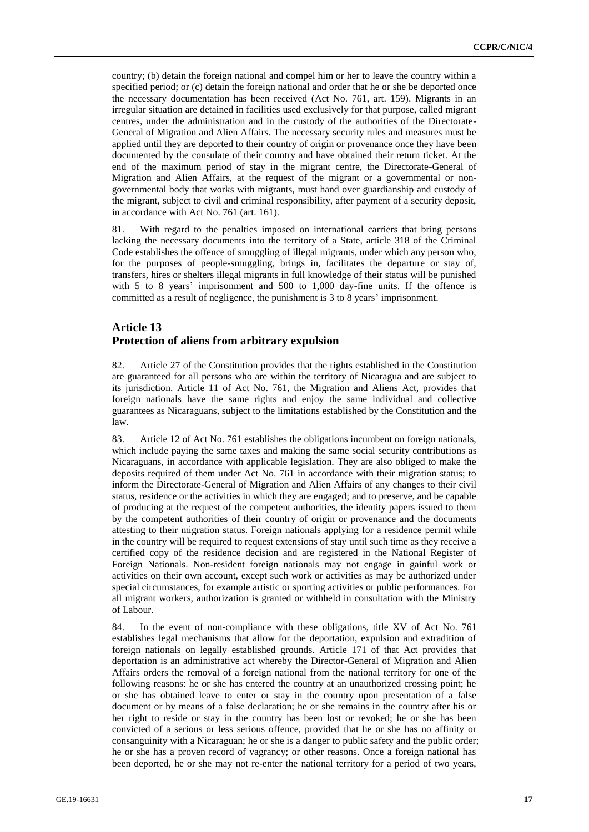country; (b) detain the foreign national and compel him or her to leave the country within a specified period; or (c) detain the foreign national and order that he or she be deported once the necessary documentation has been received (Act No. 761, art. 159). Migrants in an irregular situation are detained in facilities used exclusively for that purpose, called migrant centres, under the administration and in the custody of the authorities of the Directorate-General of Migration and Alien Affairs. The necessary security rules and measures must be applied until they are deported to their country of origin or provenance once they have been documented by the consulate of their country and have obtained their return ticket. At the end of the maximum period of stay in the migrant centre, the Directorate-General of Migration and Alien Affairs, at the request of the migrant or a governmental or nongovernmental body that works with migrants, must hand over guardianship and custody of the migrant, subject to civil and criminal responsibility, after payment of a security deposit, in accordance with Act No. 761 (art. 161).

81. With regard to the penalties imposed on international carriers that bring persons lacking the necessary documents into the territory of a State, article 318 of the Criminal Code establishes the offence of smuggling of illegal migrants, under which any person who, for the purposes of people-smuggling, brings in, facilitates the departure or stay of, transfers, hires or shelters illegal migrants in full knowledge of their status will be punished with 5 to 8 years' imprisonment and 500 to 1,000 day-fine units. If the offence is committed as a result of negligence, the punishment is 3 to 8 years' imprisonment.

#### **Article 13 Protection of aliens from arbitrary expulsion**

82. Article 27 of the Constitution provides that the rights established in the Constitution are guaranteed for all persons who are within the territory of Nicaragua and are subject to its jurisdiction. Article 11 of Act No. 761, the Migration and Aliens Act, provides that foreign nationals have the same rights and enjoy the same individual and collective guarantees as Nicaraguans, subject to the limitations established by the Constitution and the law.

83. Article 12 of Act No. 761 establishes the obligations incumbent on foreign nationals, which include paying the same taxes and making the same social security contributions as Nicaraguans, in accordance with applicable legislation. They are also obliged to make the deposits required of them under Act No. 761 in accordance with their migration status; to inform the Directorate-General of Migration and Alien Affairs of any changes to their civil status, residence or the activities in which they are engaged; and to preserve, and be capable of producing at the request of the competent authorities, the identity papers issued to them by the competent authorities of their country of origin or provenance and the documents attesting to their migration status. Foreign nationals applying for a residence permit while in the country will be required to request extensions of stay until such time as they receive a certified copy of the residence decision and are registered in the National Register of Foreign Nationals. Non-resident foreign nationals may not engage in gainful work or activities on their own account, except such work or activities as may be authorized under special circumstances, for example artistic or sporting activities or public performances. For all migrant workers, authorization is granted or withheld in consultation with the Ministry of Labour.

84. In the event of non-compliance with these obligations, title XV of Act No. 761 establishes legal mechanisms that allow for the deportation, expulsion and extradition of foreign nationals on legally established grounds. Article 171 of that Act provides that deportation is an administrative act whereby the Director-General of Migration and Alien Affairs orders the removal of a foreign national from the national territory for one of the following reasons: he or she has entered the country at an unauthorized crossing point; he or she has obtained leave to enter or stay in the country upon presentation of a false document or by means of a false declaration; he or she remains in the country after his or her right to reside or stay in the country has been lost or revoked; he or she has been convicted of a serious or less serious offence, provided that he or she has no affinity or consanguinity with a Nicaraguan; he or she is a danger to public safety and the public order; he or she has a proven record of vagrancy; or other reasons. Once a foreign national has been deported, he or she may not re-enter the national territory for a period of two years,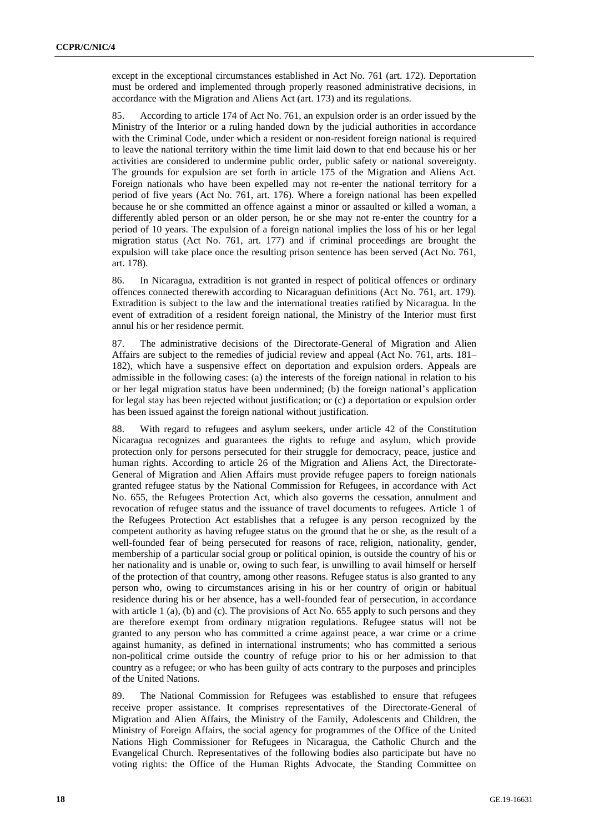except in the exceptional circumstances established in Act No. 761 (art. 172). Deportation must be ordered and implemented through properly reasoned administrative decisions, in accordance with the Migration and Aliens Act (art. 173) and its regulations.

85. According to article 174 of Act No. 761, an expulsion order is an order issued by the Ministry of the Interior or a ruling handed down by the judicial authorities in accordance with the Criminal Code, under which a resident or non-resident foreign national is required to leave the national territory within the time limit laid down to that end because his or her activities are considered to undermine public order, public safety or national sovereignty. The grounds for expulsion are set forth in article 175 of the Migration and Aliens Act. Foreign nationals who have been expelled may not re-enter the national territory for a period of five years (Act No. 761, art. 176). Where a foreign national has been expelled because he or she committed an offence against a minor or assaulted or killed a woman, a differently abled person or an older person, he or she may not re-enter the country for a period of 10 years. The expulsion of a foreign national implies the loss of his or her legal migration status (Act No. 761, art. 177) and if criminal proceedings are brought the expulsion will take place once the resulting prison sentence has been served (Act No. 761, art. 178).

86. In Nicaragua, extradition is not granted in respect of political offences or ordinary offences connected therewith according to Nicaraguan definitions (Act No. 761, art. 179). Extradition is subject to the law and the international treaties ratified by Nicaragua. In the event of extradition of a resident foreign national, the Ministry of the Interior must first annul his or her residence permit.

87. The administrative decisions of the Directorate-General of Migration and Alien Affairs are subject to the remedies of judicial review and appeal (Act No. 761, arts. 181– 182), which have a suspensive effect on deportation and expulsion orders. Appeals are admissible in the following cases: (a) the interests of the foreign national in relation to his or her legal migration status have been undermined; (b) the foreign national's application for legal stay has been rejected without justification; or (c) a deportation or expulsion order has been issued against the foreign national without justification.

88. With regard to refugees and asylum seekers, under article 42 of the Constitution Nicaragua recognizes and guarantees the rights to refuge and asylum, which provide protection only for persons persecuted for their struggle for democracy, peace, justice and human rights. According to article 26 of the Migration and Aliens Act, the Directorate-General of Migration and Alien Affairs must provide refugee papers to foreign nationals granted refugee status by the National Commission for Refugees, in accordance with Act No. 655, the Refugees Protection Act, which also governs the cessation, annulment and revocation of refugee status and the issuance of travel documents to refugees. Article 1 of the Refugees Protection Act establishes that a refugee is any person recognized by the competent authority as having refugee status on the ground that he or she, as the result of a well-founded fear of being persecuted for reasons of race, religion, nationality, gender, membership of a particular social group or political opinion, is outside the country of his or her nationality and is unable or, owing to such fear, is unwilling to avail himself or herself of the protection of that country, among other reasons. Refugee status is also granted to any person who, owing to circumstances arising in his or her country of origin or habitual residence during his or her absence, has a well-founded fear of persecution, in accordance with article 1 (a), (b) and (c). The provisions of Act No. 655 apply to such persons and they are therefore exempt from ordinary migration regulations. Refugee status will not be granted to any person who has committed a crime against peace, a war crime or a crime against humanity, as defined in international instruments; who has committed a serious non-political crime outside the country of refuge prior to his or her admission to that country as a refugee; or who has been guilty of acts contrary to the purposes and principles of the United Nations.

89. The National Commission for Refugees was established to ensure that refugees receive proper assistance. It comprises representatives of the Directorate-General of Migration and Alien Affairs, the Ministry of the Family, Adolescents and Children, the Ministry of Foreign Affairs, the social agency for programmes of the Office of the United Nations High Commissioner for Refugees in Nicaragua, the Catholic Church and the Evangelical Church. Representatives of the following bodies also participate but have no voting rights: the Office of the Human Rights Advocate, the Standing Committee on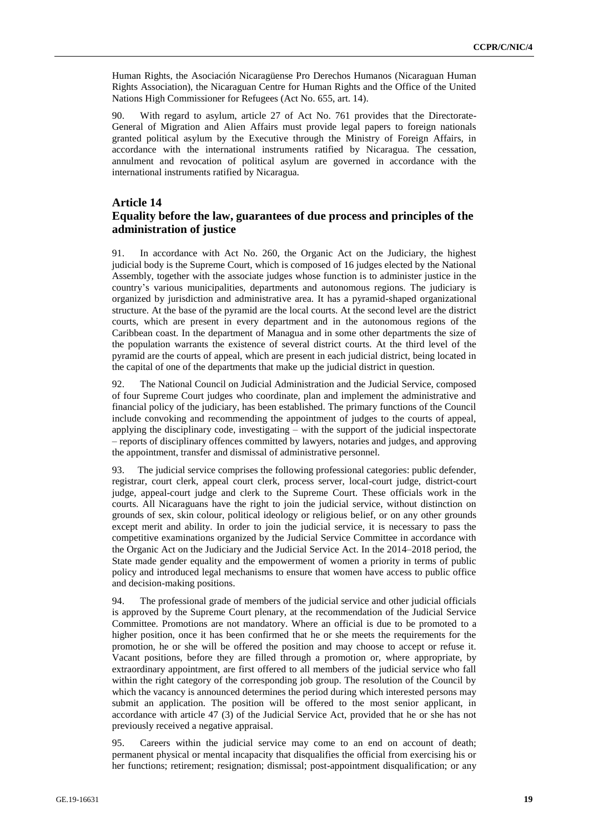Human Rights, the Asociación Nicaragüense Pro Derechos Humanos (Nicaraguan Human Rights Association), the Nicaraguan Centre for Human Rights and the Office of the United Nations High Commissioner for Refugees (Act No. 655, art. 14).

90. With regard to asylum, article 27 of Act No. 761 provides that the Directorate-General of Migration and Alien Affairs must provide legal papers to foreign nationals granted political asylum by the Executive through the Ministry of Foreign Affairs, in accordance with the international instruments ratified by Nicaragua. The cessation, annulment and revocation of political asylum are governed in accordance with the international instruments ratified by Nicaragua.

#### **Article 14**

#### **Equality before the law, guarantees of due process and principles of the administration of justice**

91. In accordance with Act No. 260, the Organic Act on the Judiciary, the highest judicial body is the Supreme Court, which is composed of 16 judges elected by the National Assembly, together with the associate judges whose function is to administer justice in the country's various municipalities, departments and autonomous regions. The judiciary is organized by jurisdiction and administrative area. It has a pyramid-shaped organizational structure. At the base of the pyramid are the local courts. At the second level are the district courts, which are present in every department and in the autonomous regions of the Caribbean coast. In the department of Managua and in some other departments the size of the population warrants the existence of several district courts. At the third level of the pyramid are the courts of appeal, which are present in each judicial district, being located in the capital of one of the departments that make up the judicial district in question.

92. The National Council on Judicial Administration and the Judicial Service, composed of four Supreme Court judges who coordinate, plan and implement the administrative and financial policy of the judiciary, has been established. The primary functions of the Council include convoking and recommending the appointment of judges to the courts of appeal, applying the disciplinary code, investigating – with the support of the judicial inspectorate – reports of disciplinary offences committed by lawyers, notaries and judges, and approving the appointment, transfer and dismissal of administrative personnel.

93. The judicial service comprises the following professional categories: public defender, registrar, court clerk, appeal court clerk, process server, local-court judge, district-court judge, appeal-court judge and clerk to the Supreme Court. These officials work in the courts. All Nicaraguans have the right to join the judicial service, without distinction on grounds of sex, skin colour, political ideology or religious belief, or on any other grounds except merit and ability. In order to join the judicial service, it is necessary to pass the competitive examinations organized by the Judicial Service Committee in accordance with the Organic Act on the Judiciary and the Judicial Service Act. In the 2014–2018 period, the State made gender equality and the empowerment of women a priority in terms of public policy and introduced legal mechanisms to ensure that women have access to public office and decision-making positions.

94. The professional grade of members of the judicial service and other judicial officials is approved by the Supreme Court plenary, at the recommendation of the Judicial Service Committee. Promotions are not mandatory. Where an official is due to be promoted to a higher position, once it has been confirmed that he or she meets the requirements for the promotion, he or she will be offered the position and may choose to accept or refuse it. Vacant positions, before they are filled through a promotion or, where appropriate, by extraordinary appointment, are first offered to all members of the judicial service who fall within the right category of the corresponding job group. The resolution of the Council by which the vacancy is announced determines the period during which interested persons may submit an application. The position will be offered to the most senior applicant, in accordance with article 47 (3) of the Judicial Service Act, provided that he or she has not previously received a negative appraisal.

95. Careers within the judicial service may come to an end on account of death; permanent physical or mental incapacity that disqualifies the official from exercising his or her functions; retirement; resignation; dismissal; post-appointment disqualification; or any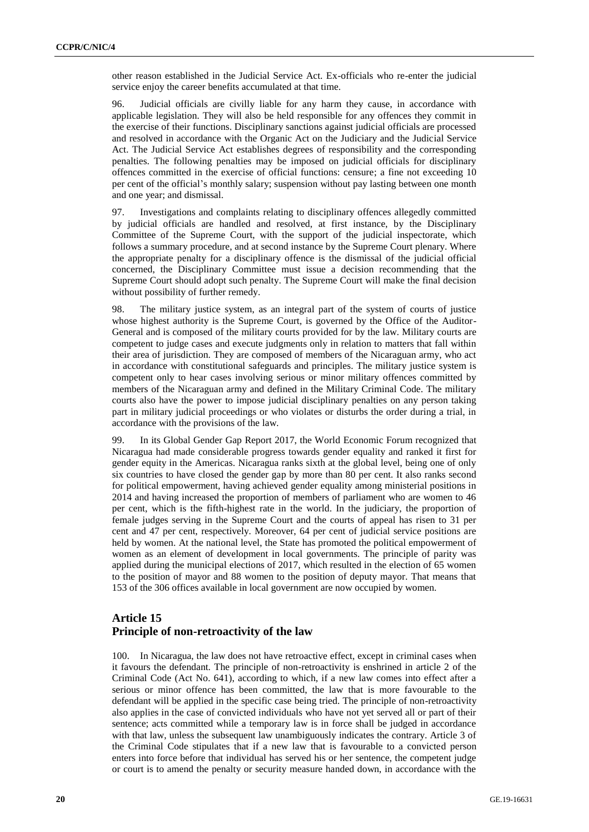other reason established in the Judicial Service Act. Ex-officials who re-enter the judicial service enjoy the career benefits accumulated at that time.

96. Judicial officials are civilly liable for any harm they cause, in accordance with applicable legislation. They will also be held responsible for any offences they commit in the exercise of their functions. Disciplinary sanctions against judicial officials are processed and resolved in accordance with the Organic Act on the Judiciary and the Judicial Service Act. The Judicial Service Act establishes degrees of responsibility and the corresponding penalties. The following penalties may be imposed on judicial officials for disciplinary offences committed in the exercise of official functions: censure; a fine not exceeding 10 per cent of the official's monthly salary; suspension without pay lasting between one month and one year; and dismissal.

97. Investigations and complaints relating to disciplinary offences allegedly committed by judicial officials are handled and resolved, at first instance, by the Disciplinary Committee of the Supreme Court, with the support of the judicial inspectorate, which follows a summary procedure, and at second instance by the Supreme Court plenary. Where the appropriate penalty for a disciplinary offence is the dismissal of the judicial official concerned, the Disciplinary Committee must issue a decision recommending that the Supreme Court should adopt such penalty. The Supreme Court will make the final decision without possibility of further remedy.

98. The military justice system, as an integral part of the system of courts of justice whose highest authority is the Supreme Court, is governed by the Office of the Auditor-General and is composed of the military courts provided for by the law. Military courts are competent to judge cases and execute judgments only in relation to matters that fall within their area of jurisdiction. They are composed of members of the Nicaraguan army, who act in accordance with constitutional safeguards and principles. The military justice system is competent only to hear cases involving serious or minor military offences committed by members of the Nicaraguan army and defined in the Military Criminal Code. The military courts also have the power to impose judicial disciplinary penalties on any person taking part in military judicial proceedings or who violates or disturbs the order during a trial, in accordance with the provisions of the law.

99. In its Global Gender Gap Report 2017, the World Economic Forum recognized that Nicaragua had made considerable progress towards gender equality and ranked it first for gender equity in the Americas. Nicaragua ranks sixth at the global level, being one of only six countries to have closed the gender gap by more than 80 per cent. It also ranks second for political empowerment, having achieved gender equality among ministerial positions in 2014 and having increased the proportion of members of parliament who are women to 46 per cent, which is the fifth-highest rate in the world. In the judiciary, the proportion of female judges serving in the Supreme Court and the courts of appeal has risen to 31 per cent and 47 per cent, respectively. Moreover, 64 per cent of judicial service positions are held by women. At the national level, the State has promoted the political empowerment of women as an element of development in local governments. The principle of parity was applied during the municipal elections of 2017, which resulted in the election of 65 women to the position of mayor and 88 women to the position of deputy mayor. That means that 153 of the 306 offices available in local government are now occupied by women.

# **Article 15 Principle of non-retroactivity of the law**

100. In Nicaragua, the law does not have retroactive effect, except in criminal cases when it favours the defendant. The principle of non-retroactivity is enshrined in article 2 of the Criminal Code (Act No. 641), according to which, if a new law comes into effect after a serious or minor offence has been committed, the law that is more favourable to the defendant will be applied in the specific case being tried. The principle of non-retroactivity also applies in the case of convicted individuals who have not yet served all or part of their sentence; acts committed while a temporary law is in force shall be judged in accordance with that law, unless the subsequent law unambiguously indicates the contrary. Article 3 of the Criminal Code stipulates that if a new law that is favourable to a convicted person enters into force before that individual has served his or her sentence, the competent judge or court is to amend the penalty or security measure handed down, in accordance with the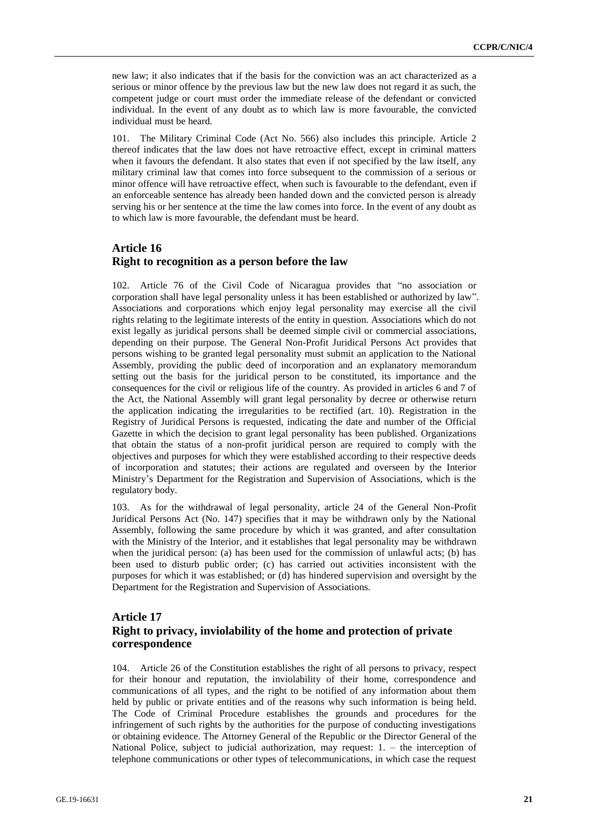new law; it also indicates that if the basis for the conviction was an act characterized as a serious or minor offence by the previous law but the new law does not regard it as such, the competent judge or court must order the immediate release of the defendant or convicted individual. In the event of any doubt as to which law is more favourable, the convicted individual must be heard.

101. The Military Criminal Code (Act No. 566) also includes this principle. Article 2 thereof indicates that the law does not have retroactive effect, except in criminal matters when it favours the defendant. It also states that even if not specified by the law itself, any military criminal law that comes into force subsequent to the commission of a serious or minor offence will have retroactive effect, when such is favourable to the defendant, even if an enforceable sentence has already been handed down and the convicted person is already serving his or her sentence at the time the law comes into force. In the event of any doubt as to which law is more favourable, the defendant must be heard.

#### **Article 16 Right to recognition as a person before the law**

102. Article 76 of the Civil Code of Nicaragua provides that "no association or corporation shall have legal personality unless it has been established or authorized by law". Associations and corporations which enjoy legal personality may exercise all the civil rights relating to the legitimate interests of the entity in question. Associations which do not exist legally as juridical persons shall be deemed simple civil or commercial associations, depending on their purpose. The General Non-Profit Juridical Persons Act provides that persons wishing to be granted legal personality must submit an application to the National Assembly, providing the public deed of incorporation and an explanatory memorandum setting out the basis for the juridical person to be constituted, its importance and the consequences for the civil or religious life of the country. As provided in articles 6 and 7 of the Act, the National Assembly will grant legal personality by decree or otherwise return the application indicating the irregularities to be rectified (art. 10). Registration in the Registry of Juridical Persons is requested, indicating the date and number of the Official Gazette in which the decision to grant legal personality has been published. Organizations that obtain the status of a non-profit juridical person are required to comply with the objectives and purposes for which they were established according to their respective deeds of incorporation and statutes; their actions are regulated and overseen by the Interior Ministry's Department for the Registration and Supervision of Associations, which is the regulatory body.

103. As for the withdrawal of legal personality, article 24 of the General Non-Profit Juridical Persons Act (No. 147) specifies that it may be withdrawn only by the National Assembly, following the same procedure by which it was granted, and after consultation with the Ministry of the Interior, and it establishes that legal personality may be withdrawn when the juridical person: (a) has been used for the commission of unlawful acts; (b) has been used to disturb public order; (c) has carried out activities inconsistent with the purposes for which it was established; or (d) has hindered supervision and oversight by the Department for the Registration and Supervision of Associations.

## **Article 17 Right to privacy, inviolability of the home and protection of private correspondence**

104. Article 26 of the Constitution establishes the right of all persons to privacy, respect for their honour and reputation, the inviolability of their home, correspondence and communications of all types, and the right to be notified of any information about them held by public or private entities and of the reasons why such information is being held. The Code of Criminal Procedure establishes the grounds and procedures for the infringement of such rights by the authorities for the purpose of conducting investigations or obtaining evidence. The Attorney General of the Republic or the Director General of the National Police, subject to judicial authorization, may request:  $1. -$  the interception of telephone communications or other types of telecommunications, in which case the request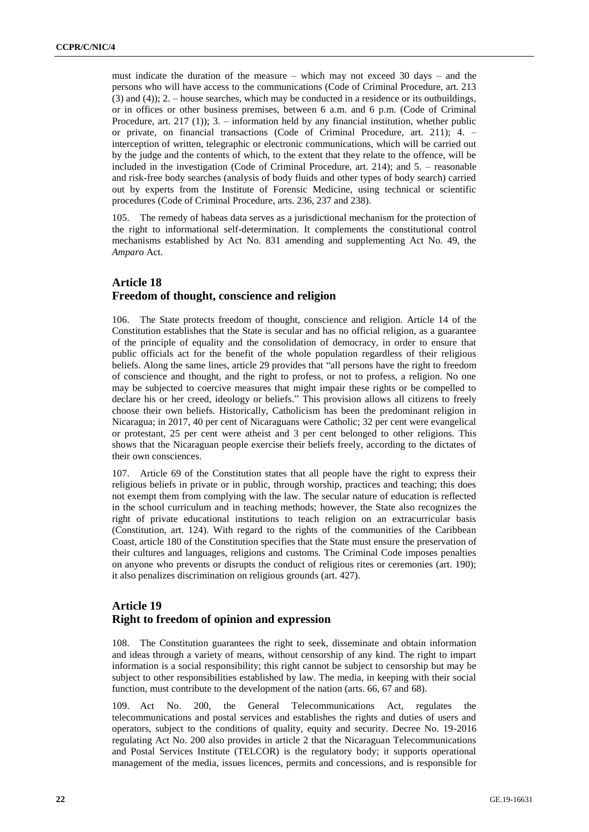must indicate the duration of the measure – which may not exceed 30 days – and the persons who will have access to the communications (Code of Criminal Procedure, art. 213 (3) and (4)); 2. – house searches, which may be conducted in a residence or its outbuildings, or in offices or other business premises, between 6 a.m. and 6 p.m. (Code of Criminal Procedure, art. 217 (1)); 3. – information held by any financial institution, whether public or private, on financial transactions (Code of Criminal Procedure, art. 211); 4. – interception of written, telegraphic or electronic communications, which will be carried out by the judge and the contents of which, to the extent that they relate to the offence, will be included in the investigation (Code of Criminal Procedure, art. 214); and 5. – reasonable and risk-free body searches (analysis of body fluids and other types of body search) carried out by experts from the Institute of Forensic Medicine, using technical or scientific procedures (Code of Criminal Procedure, arts. 236, 237 and 238).

105. The remedy of habeas data serves as a jurisdictional mechanism for the protection of the right to informational self-determination. It complements the constitutional control mechanisms established by Act No. 831 amending and supplementing Act No. 49, the *Amparo* Act.

# **Article 18 Freedom of thought, conscience and religion**

106. The State protects freedom of thought, conscience and religion. Article 14 of the Constitution establishes that the State is secular and has no official religion, as a guarantee of the principle of equality and the consolidation of democracy, in order to ensure that public officials act for the benefit of the whole population regardless of their religious beliefs. Along the same lines, article 29 provides that "all persons have the right to freedom of conscience and thought, and the right to profess, or not to profess, a religion. No one may be subjected to coercive measures that might impair these rights or be compelled to declare his or her creed, ideology or beliefs." This provision allows all citizens to freely choose their own beliefs. Historically, Catholicism has been the predominant religion in Nicaragua; in 2017, 40 per cent of Nicaraguans were Catholic; 32 per cent were evangelical or protestant, 25 per cent were atheist and 3 per cent belonged to other religions. This shows that the Nicaraguan people exercise their beliefs freely, according to the dictates of their own consciences.

107. Article 69 of the Constitution states that all people have the right to express their religious beliefs in private or in public, through worship, practices and teaching; this does not exempt them from complying with the law. The secular nature of education is reflected in the school curriculum and in teaching methods; however, the State also recognizes the right of private educational institutions to teach religion on an extracurricular basis (Constitution, art. 124). With regard to the rights of the communities of the Caribbean Coast, article 180 of the Constitution specifies that the State must ensure the preservation of their cultures and languages, religions and customs. The Criminal Code imposes penalties on anyone who prevents or disrupts the conduct of religious rites or ceremonies (art. 190); it also penalizes discrimination on religious grounds (art. 427).

## **Article 19 Right to freedom of opinion and expression**

108. The Constitution guarantees the right to seek, disseminate and obtain information and ideas through a variety of means, without censorship of any kind. The right to impart information is a social responsibility; this right cannot be subject to censorship but may be subject to other responsibilities established by law. The media, in keeping with their social function, must contribute to the development of the nation (arts. 66, 67 and 68).

109. Act No. 200, the General Telecommunications Act, regulates the telecommunications and postal services and establishes the rights and duties of users and operators, subject to the conditions of quality, equity and security. Decree No. 19-2016 regulating Act No. 200 also provides in article 2 that the Nicaraguan Telecommunications and Postal Services Institute (TELCOR) is the regulatory body; it supports operational management of the media, issues licences, permits and concessions, and is responsible for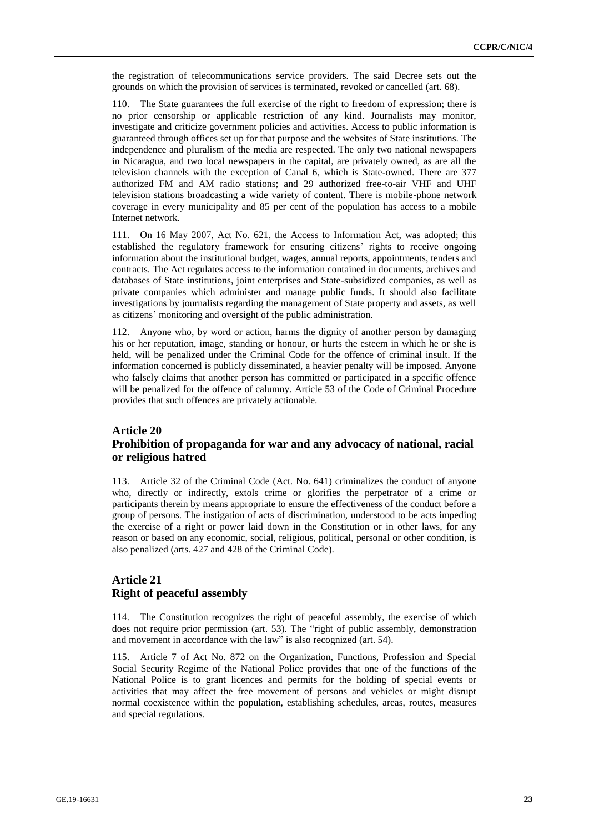the registration of telecommunications service providers. The said Decree sets out the grounds on which the provision of services is terminated, revoked or cancelled (art. 68).

110. The State guarantees the full exercise of the right to freedom of expression; there is no prior censorship or applicable restriction of any kind. Journalists may monitor, investigate and criticize government policies and activities. Access to public information is guaranteed through offices set up for that purpose and the websites of State institutions. The independence and pluralism of the media are respected. The only two national newspapers in Nicaragua, and two local newspapers in the capital, are privately owned, as are all the television channels with the exception of Canal 6, which is State-owned. There are 377 authorized FM and AM radio stations; and 29 authorized free-to-air VHF and UHF television stations broadcasting a wide variety of content. There is mobile-phone network coverage in every municipality and 85 per cent of the population has access to a mobile Internet network.

111. On 16 May 2007, Act No. 621, the Access to Information Act, was adopted; this established the regulatory framework for ensuring citizens' rights to receive ongoing information about the institutional budget, wages, annual reports, appointments, tenders and contracts. The Act regulates access to the information contained in documents, archives and databases of State institutions, joint enterprises and State-subsidized companies, as well as private companies which administer and manage public funds. It should also facilitate investigations by journalists regarding the management of State property and assets, as well as citizens' monitoring and oversight of the public administration.

Anyone who, by word or action, harms the dignity of another person by damaging his or her reputation, image, standing or honour, or hurts the esteem in which he or she is held, will be penalized under the Criminal Code for the offence of criminal insult. If the information concerned is publicly disseminated, a heavier penalty will be imposed. Anyone who falsely claims that another person has committed or participated in a specific offence will be penalized for the offence of calumny. Article 53 of the Code of Criminal Procedure provides that such offences are privately actionable.

#### **Article 20 Prohibition of propaganda for war and any advocacy of national, racial or religious hatred**

113. Article 32 of the Criminal Code (Act. No. 641) criminalizes the conduct of anyone who, directly or indirectly, extols crime or glorifies the perpetrator of a crime or participants therein by means appropriate to ensure the effectiveness of the conduct before a group of persons. The instigation of acts of discrimination, understood to be acts impeding the exercise of a right or power laid down in the Constitution or in other laws, for any reason or based on any economic, social, religious, political, personal or other condition, is also penalized (arts. 427 and 428 of the Criminal Code).

#### **Article 21 Right of peaceful assembly**

114. The Constitution recognizes the right of peaceful assembly, the exercise of which does not require prior permission (art. 53). The "right of public assembly, demonstration and movement in accordance with the law" is also recognized (art. 54).

115. Article 7 of Act No. 872 on the Organization, Functions, Profession and Special Social Security Regime of the National Police provides that one of the functions of the National Police is to grant licences and permits for the holding of special events or activities that may affect the free movement of persons and vehicles or might disrupt normal coexistence within the population, establishing schedules, areas, routes, measures and special regulations.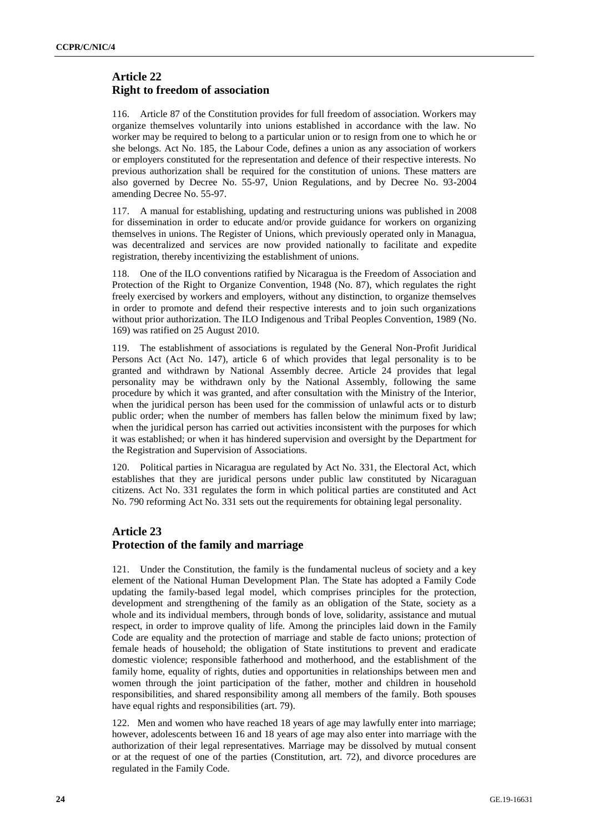# **Article 22 Right to freedom of association**

116. Article 87 of the Constitution provides for full freedom of association. Workers may organize themselves voluntarily into unions established in accordance with the law. No worker may be required to belong to a particular union or to resign from one to which he or she belongs. Act No. 185, the Labour Code, defines a union as any association of workers or employers constituted for the representation and defence of their respective interests. No previous authorization shall be required for the constitution of unions. These matters are also governed by Decree No. 55-97, Union Regulations, and by Decree No. 93-2004 amending Decree No. 55-97.

117. A manual for establishing, updating and restructuring unions was published in 2008 for dissemination in order to educate and/or provide guidance for workers on organizing themselves in unions. The Register of Unions, which previously operated only in Managua, was decentralized and services are now provided nationally to facilitate and expedite registration, thereby incentivizing the establishment of unions.

118. One of the ILO conventions ratified by Nicaragua is the Freedom of Association and Protection of the Right to Organize Convention, 1948 (No. 87), which regulates the right freely exercised by workers and employers, without any distinction, to organize themselves in order to promote and defend their respective interests and to join such organizations without prior authorization. The ILO Indigenous and Tribal Peoples Convention, 1989 (No. 169) was ratified on 25 August 2010.

119. The establishment of associations is regulated by the General Non-Profit Juridical Persons Act (Act No. 147), article 6 of which provides that legal personality is to be granted and withdrawn by National Assembly decree. Article 24 provides that legal personality may be withdrawn only by the National Assembly, following the same procedure by which it was granted, and after consultation with the Ministry of the Interior, when the juridical person has been used for the commission of unlawful acts or to disturb public order; when the number of members has fallen below the minimum fixed by law; when the juridical person has carried out activities inconsistent with the purposes for which it was established; or when it has hindered supervision and oversight by the Department for the Registration and Supervision of Associations.

120. Political parties in Nicaragua are regulated by Act No. 331, the Electoral Act, which establishes that they are juridical persons under public law constituted by Nicaraguan citizens. Act No. 331 regulates the form in which political parties are constituted and Act No. 790 reforming Act No. 331 sets out the requirements for obtaining legal personality.

# **Article 23 Protection of the family and marriage**

121. Under the Constitution, the family is the fundamental nucleus of society and a key element of the National Human Development Plan. The State has adopted a Family Code updating the family-based legal model, which comprises principles for the protection, development and strengthening of the family as an obligation of the State, society as a whole and its individual members, through bonds of love, solidarity, assistance and mutual respect, in order to improve quality of life. Among the principles laid down in the Family Code are equality and the protection of marriage and stable de facto unions; protection of female heads of household; the obligation of State institutions to prevent and eradicate domestic violence; responsible fatherhood and motherhood, and the establishment of the family home, equality of rights, duties and opportunities in relationships between men and women through the joint participation of the father, mother and children in household responsibilities, and shared responsibility among all members of the family. Both spouses have equal rights and responsibilities (art. 79).

122. Men and women who have reached 18 years of age may lawfully enter into marriage; however, adolescents between 16 and 18 years of age may also enter into marriage with the authorization of their legal representatives. Marriage may be dissolved by mutual consent or at the request of one of the parties (Constitution, art. 72), and divorce procedures are regulated in the Family Code.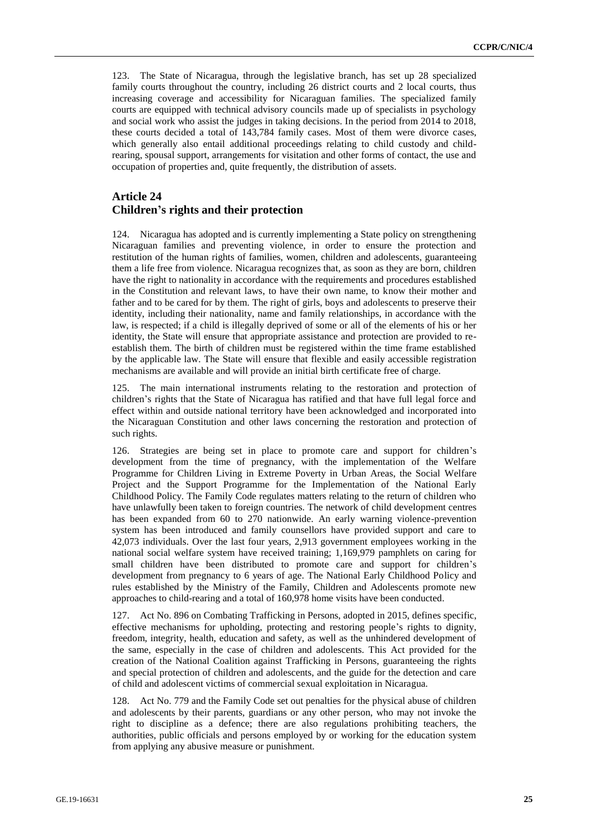123. The State of Nicaragua, through the legislative branch, has set up 28 specialized family courts throughout the country, including 26 district courts and 2 local courts, thus increasing coverage and accessibility for Nicaraguan families. The specialized family courts are equipped with technical advisory councils made up of specialists in psychology and social work who assist the judges in taking decisions. In the period from 2014 to 2018, these courts decided a total of 143,784 family cases. Most of them were divorce cases, which generally also entail additional proceedings relating to child custody and childrearing, spousal support, arrangements for visitation and other forms of contact, the use and occupation of properties and, quite frequently, the distribution of assets.

## **Article 24 Children's rights and their protection**

124. Nicaragua has adopted and is currently implementing a State policy on strengthening Nicaraguan families and preventing violence, in order to ensure the protection and restitution of the human rights of families, women, children and adolescents, guaranteeing them a life free from violence. Nicaragua recognizes that, as soon as they are born, children have the right to nationality in accordance with the requirements and procedures established in the Constitution and relevant laws, to have their own name, to know their mother and father and to be cared for by them. The right of girls, boys and adolescents to preserve their identity, including their nationality, name and family relationships, in accordance with the law, is respected; if a child is illegally deprived of some or all of the elements of his or her identity, the State will ensure that appropriate assistance and protection are provided to reestablish them. The birth of children must be registered within the time frame established by the applicable law. The State will ensure that flexible and easily accessible registration mechanisms are available and will provide an initial birth certificate free of charge.

125. The main international instruments relating to the restoration and protection of children's rights that the State of Nicaragua has ratified and that have full legal force and effect within and outside national territory have been acknowledged and incorporated into the Nicaraguan Constitution and other laws concerning the restoration and protection of such rights.

126. Strategies are being set in place to promote care and support for children's development from the time of pregnancy, with the implementation of the Welfare Programme for Children Living in Extreme Poverty in Urban Areas, the Social Welfare Project and the Support Programme for the Implementation of the National Early Childhood Policy. The Family Code regulates matters relating to the return of children who have unlawfully been taken to foreign countries. The network of child development centres has been expanded from 60 to 270 nationwide. An early warning violence-prevention system has been introduced and family counsellors have provided support and care to 42,073 individuals. Over the last four years, 2,913 government employees working in the national social welfare system have received training; 1,169,979 pamphlets on caring for small children have been distributed to promote care and support for children's development from pregnancy to 6 years of age. The National Early Childhood Policy and rules established by the Ministry of the Family, Children and Adolescents promote new approaches to child-rearing and a total of 160,978 home visits have been conducted.

127. Act No. 896 on Combating Trafficking in Persons, adopted in 2015, defines specific, effective mechanisms for upholding, protecting and restoring people's rights to dignity, freedom, integrity, health, education and safety, as well as the unhindered development of the same, especially in the case of children and adolescents. This Act provided for the creation of the National Coalition against Trafficking in Persons, guaranteeing the rights and special protection of children and adolescents, and the guide for the detection and care of child and adolescent victims of commercial sexual exploitation in Nicaragua.

128. Act No. 779 and the Family Code set out penalties for the physical abuse of children and adolescents by their parents, guardians or any other person, who may not invoke the right to discipline as a defence; there are also regulations prohibiting teachers, the authorities, public officials and persons employed by or working for the education system from applying any abusive measure or punishment.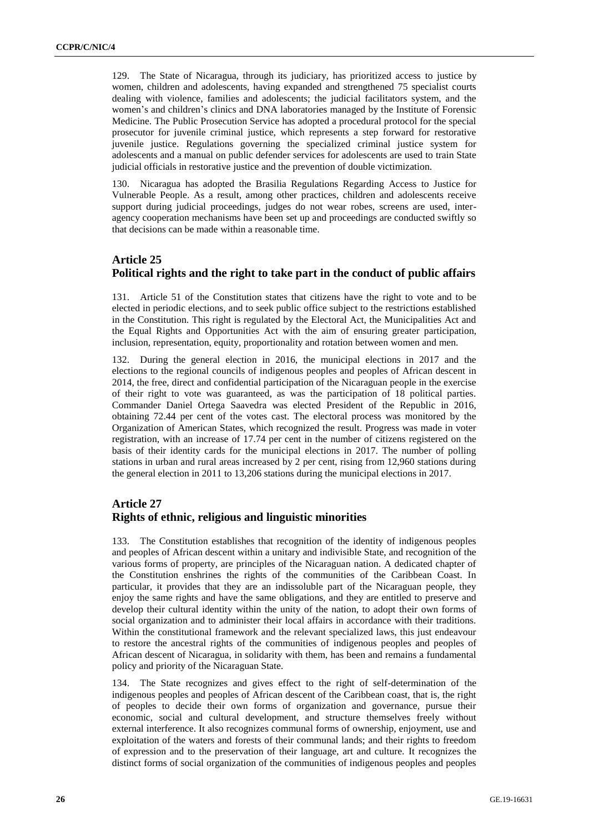129. The State of Nicaragua, through its judiciary, has prioritized access to justice by women, children and adolescents, having expanded and strengthened 75 specialist courts dealing with violence, families and adolescents; the judicial facilitators system, and the women's and children's clinics and DNA laboratories managed by the Institute of Forensic Medicine. The Public Prosecution Service has adopted a procedural protocol for the special prosecutor for juvenile criminal justice, which represents a step forward for restorative juvenile justice. Regulations governing the specialized criminal justice system for adolescents and a manual on public defender services for adolescents are used to train State judicial officials in restorative justice and the prevention of double victimization.

130. Nicaragua has adopted the Brasilia Regulations Regarding Access to Justice for Vulnerable People. As a result, among other practices, children and adolescents receive support during judicial proceedings, judges do not wear robes, screens are used, interagency cooperation mechanisms have been set up and proceedings are conducted swiftly so that decisions can be made within a reasonable time.

# **Article 25 Political rights and the right to take part in the conduct of public affairs**

131. Article 51 of the Constitution states that citizens have the right to vote and to be elected in periodic elections, and to seek public office subject to the restrictions established in the Constitution. This right is regulated by the Electoral Act, the Municipalities Act and the Equal Rights and Opportunities Act with the aim of ensuring greater participation, inclusion, representation, equity, proportionality and rotation between women and men.

132. During the general election in 2016, the municipal elections in 2017 and the elections to the regional councils of indigenous peoples and peoples of African descent in 2014, the free, direct and confidential participation of the Nicaraguan people in the exercise of their right to vote was guaranteed, as was the participation of 18 political parties. Commander Daniel Ortega Saavedra was elected President of the Republic in 2016, obtaining 72.44 per cent of the votes cast. The electoral process was monitored by the Organization of American States, which recognized the result. Progress was made in voter registration, with an increase of 17.74 per cent in the number of citizens registered on the basis of their identity cards for the municipal elections in 2017. The number of polling stations in urban and rural areas increased by 2 per cent, rising from 12,960 stations during the general election in 2011 to 13,206 stations during the municipal elections in 2017.

# **Article 27 Rights of ethnic, religious and linguistic minorities**

133. The Constitution establishes that recognition of the identity of indigenous peoples and peoples of African descent within a unitary and indivisible State, and recognition of the various forms of property, are principles of the Nicaraguan nation. A dedicated chapter of the Constitution enshrines the rights of the communities of the Caribbean Coast. In particular, it provides that they are an indissoluble part of the Nicaraguan people, they enjoy the same rights and have the same obligations, and they are entitled to preserve and develop their cultural identity within the unity of the nation, to adopt their own forms of social organization and to administer their local affairs in accordance with their traditions. Within the constitutional framework and the relevant specialized laws, this just endeavour to restore the ancestral rights of the communities of indigenous peoples and peoples of African descent of Nicaragua, in solidarity with them, has been and remains a fundamental policy and priority of the Nicaraguan State.

134. The State recognizes and gives effect to the right of self-determination of the indigenous peoples and peoples of African descent of the Caribbean coast, that is, the right of peoples to decide their own forms of organization and governance, pursue their economic, social and cultural development, and structure themselves freely without external interference. It also recognizes communal forms of ownership, enjoyment, use and exploitation of the waters and forests of their communal lands; and their rights to freedom of expression and to the preservation of their language, art and culture. It recognizes the distinct forms of social organization of the communities of indigenous peoples and peoples